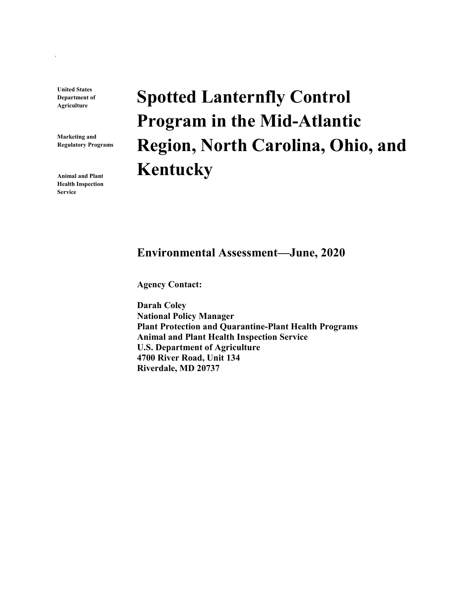**United States Department of Agriculture**

`

**Marketing and Regulatory Programs**

**Animal and Plant Health Inspection Service**

# **Spotted Lanternfly Control Program in the Mid-Atlantic Region, North Carolina, Ohio, and Kentucky**

#### **Environmental Assessment—June, 2020**

**Agency Contact:**

**Darah Coley National Policy Manager Plant Protection and Quarantine-Plant Health Programs Animal and Plant Health Inspection Service U.S. Department of Agriculture 4700 River Road, Unit 134 Riverdale, MD 20737**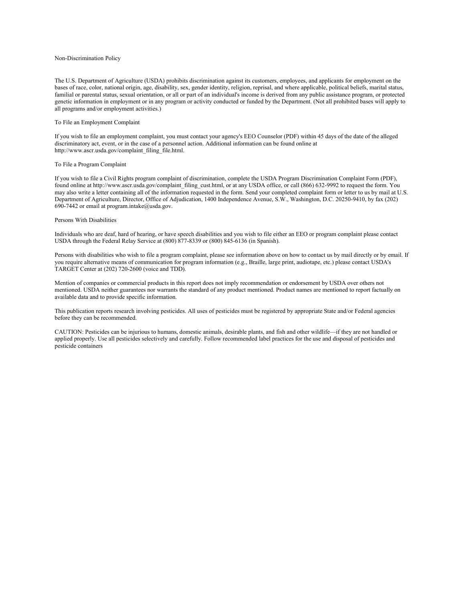#### Non-Discrimination Policy

The U.S. Department of Agriculture (USDA) prohibits discrimination against its customers, employees, and applicants for employment on the bases of race, color, national origin, age, disability, sex, gender identity, religion, reprisal, and where applicable, political beliefs, marital status, familial or parental status, sexual orientation, or all or part of an individual's income is derived from any public assistance program, or protected genetic information in employment or in any program or activity conducted or funded by the Department. (Not all prohibited bases will apply to all programs and/or employment activities.)

#### To File an Employment Complaint

If you wish to file an employment complaint, you must contact your agency's EEO Counselor (PDF) within 45 days of the date of the alleged discriminatory act, event, or in the case of a personnel action. Additional information can be found online at http://www.ascr.usda.gov/complaint\_filing\_file.html.

#### To File a Program Complaint

If you wish to file a Civil Rights program complaint of discrimination, complete the USDA Program Discrimination Complaint Form (PDF), found online at http://www.ascr.usda.gov/complaint\_filing\_cust.html, or at any USDA office, or call (866) 632-9992 to request the form. You may also write a letter containing all of the information requested in the form. Send your completed complaint form or letter to us by mail at U.S. Department of Agriculture, Director, Office of Adjudication, 1400 Independence Avenue, S.W., Washington, D.C. 20250-9410, by fax (202) 690-7442 or email at program.intake@usda.gov.

#### Persons With Disabilities

Individuals who are deaf, hard of hearing, or have speech disabilities and you wish to file either an EEO or program complaint please contact USDA through the Federal Relay Service at (800) 877-8339 or (800) 845-6136 (in Spanish).

Persons with disabilities who wish to file a program complaint, please see information above on how to contact us by mail directly or by email. If you require alternative means of communication for program information (e.g., Braille, large print, audiotape, etc.) please contact USDA's TARGET Center at (202) 720-2600 (voice and TDD).

Mention of companies or commercial products in this report does not imply recommendation or endorsement by USDA over others not mentioned. USDA neither guarantees nor warrants the standard of any product mentioned. Product names are mentioned to report factually on available data and to provide specific information.

This publication reports research involving pesticides. All uses of pesticides must be registered by appropriate State and/or Federal agencies before they can be recommended.

CAUTION: Pesticides can be injurious to humans, domestic animals, desirable plants, and fish and other wildlife—if they are not handled or applied properly. Use all pesticides selectively and carefully. Follow recommended label practices for the use and disposal of pesticides and pesticide containers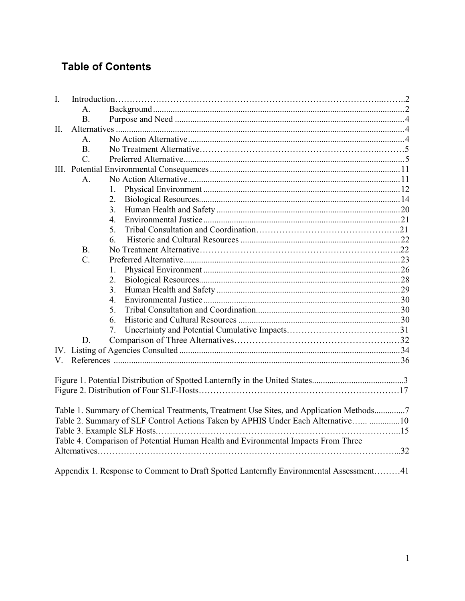## **Table of Contents**

| I.                                                                                |                  |                                                                                        |  |  |  |
|-----------------------------------------------------------------------------------|------------------|----------------------------------------------------------------------------------------|--|--|--|
|                                                                                   | $\mathsf{A}$ .   |                                                                                        |  |  |  |
|                                                                                   | <b>B.</b>        |                                                                                        |  |  |  |
| II.                                                                               |                  |                                                                                        |  |  |  |
|                                                                                   | $\mathsf{A}$ .   |                                                                                        |  |  |  |
|                                                                                   | B.               |                                                                                        |  |  |  |
|                                                                                   | $\overline{C}$ . |                                                                                        |  |  |  |
|                                                                                   |                  |                                                                                        |  |  |  |
|                                                                                   | $\mathsf{A}$ .   |                                                                                        |  |  |  |
|                                                                                   |                  |                                                                                        |  |  |  |
|                                                                                   |                  | 2.                                                                                     |  |  |  |
|                                                                                   |                  | 3.                                                                                     |  |  |  |
|                                                                                   |                  | $4_{-}$                                                                                |  |  |  |
|                                                                                   |                  | 5.                                                                                     |  |  |  |
|                                                                                   |                  | 6.                                                                                     |  |  |  |
|                                                                                   | <b>B.</b>        |                                                                                        |  |  |  |
|                                                                                   | $\overline{C}$ . |                                                                                        |  |  |  |
|                                                                                   |                  | 1.                                                                                     |  |  |  |
|                                                                                   |                  | 2.                                                                                     |  |  |  |
|                                                                                   |                  | 3 <sub>1</sub>                                                                         |  |  |  |
|                                                                                   |                  | 4.                                                                                     |  |  |  |
|                                                                                   |                  | 5.                                                                                     |  |  |  |
|                                                                                   |                  | 6.                                                                                     |  |  |  |
|                                                                                   |                  | 7.                                                                                     |  |  |  |
|                                                                                   | D.               |                                                                                        |  |  |  |
|                                                                                   |                  |                                                                                        |  |  |  |
| V.                                                                                |                  |                                                                                        |  |  |  |
|                                                                                   |                  |                                                                                        |  |  |  |
|                                                                                   |                  |                                                                                        |  |  |  |
|                                                                                   |                  |                                                                                        |  |  |  |
|                                                                                   |                  |                                                                                        |  |  |  |
|                                                                                   |                  | Table 1. Summary of Chemical Treatments, Treatment Use Sites, and Application Methods7 |  |  |  |
| Table 2. Summary of SLF Control Actions Taken by APHIS Under Each Alternative 10  |                  |                                                                                        |  |  |  |
|                                                                                   |                  |                                                                                        |  |  |  |
| Table 4. Comparison of Potential Human Health and Evironmental Impacts From Three |                  |                                                                                        |  |  |  |
|                                                                                   |                  |                                                                                        |  |  |  |
|                                                                                   |                  |                                                                                        |  |  |  |
|                                                                                   |                  | Appendix 1. Response to Comment to Draft Spotted Lanternfly Environmental Assessment41 |  |  |  |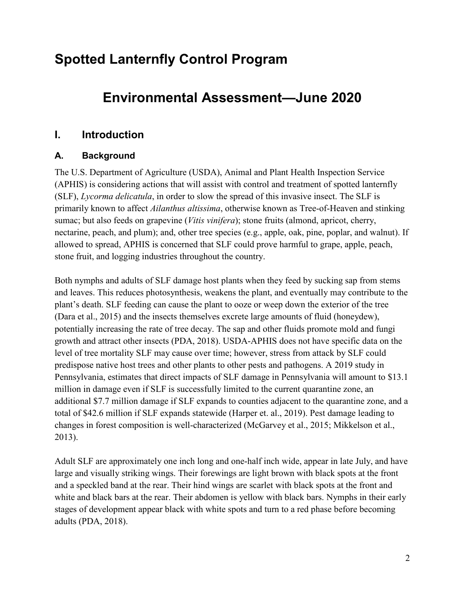## **Spotted Lanternfly Control Program**

## **Environmental Assessment—June 2020**

#### <span id="page-4-0"></span>**I. Introduction**

#### <span id="page-4-1"></span>**A. Background**

The U.S. Department of Agriculture (USDA), Animal and Plant Health Inspection Service (APHIS) is considering actions that will assist with control and treatment of spotted lanternfly (SLF), *Lycorma delicatula*, in order to slow the spread of this invasive insect. The SLF is primarily known to affect *Ailanthus altissima*, otherwise known as Tree-of-Heaven and stinking sumac; but also feeds on grapevine (*Vitis vinifera*); stone fruits (almond, apricot, cherry, nectarine, peach, and plum); and, other tree species (e.g., apple, oak, pine, poplar, and walnut). If allowed to spread, APHIS is concerned that SLF could prove harmful to grape, apple, peach, stone fruit, and logging industries throughout the country.

Both nymphs and adults of SLF damage host plants when they feed by sucking sap from stems and leaves. This reduces photosynthesis, weakens the plant, and eventually may contribute to the plant's death. SLF feeding can cause the plant to ooze or weep down the exterior of the tree (Dara et al., 2015) and the insects themselves excrete large amounts of fluid (honeydew), potentially increasing the rate of tree decay. The sap and other fluids promote mold and fungi growth and attract other insects (PDA, 2018). USDA-APHIS does not have specific data on the level of tree mortality SLF may cause over time; however, stress from attack by SLF could predispose native host trees and other plants to other pests and pathogens. A 2019 study in Pennsylvania, estimates that direct impacts of SLF damage in Pennsylvania will amount to \$13.1 million in damage even if SLF is successfully limited to the current quarantine zone, an additional \$7.7 million damage if SLF expands to counties adjacent to the quarantine zone, and a total of \$42.6 million if SLF expands statewide (Harper et. al., 2019). Pest damage leading to changes in forest composition is well-characterized (McGarvey et al., 2015; Mikkelson et al., 2013).

Adult SLF are approximately one inch long and one-half inch wide, appear in late July, and have large and visually striking wings. Their forewings are light brown with black spots at the front and a speckled band at the rear. Their hind wings are scarlet with black spots at the front and white and black bars at the rear. Their abdomen is yellow with black bars. Nymphs in their early stages of development appear black with white spots and turn to a red phase before becoming adults (PDA, 2018).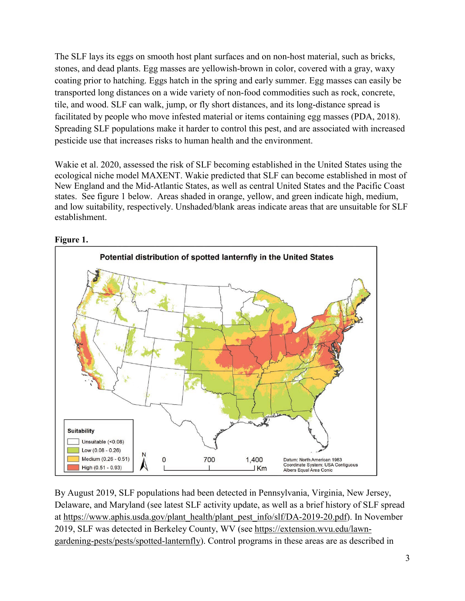The SLF lays its eggs on smooth host plant surfaces and on non-host material, such as bricks, stones, and dead plants. Egg masses are yellowish-brown in color, covered with a gray, waxy coating prior to hatching. Eggs hatch in the spring and early summer. Egg masses can easily be transported long distances on a wide variety of non-food commodities such as rock, concrete, tile, and wood. SLF can walk, jump, or fly short distances, and its long-distance spread is facilitated by people who move infested material or items containing egg masses (PDA, 2018). Spreading SLF populations make it harder to control this pest, and are associated with increased pesticide use that increases risks to human health and the environment.

Wakie et al. 2020, assessed the risk of SLF becoming established in the United States using the ecological niche model MAXENT. Wakie predicted that SLF can become established in most of New England and the Mid-Atlantic States, as well as central United States and the Pacific Coast states. See figure 1 below. Areas shaded in orange, yellow, and green indicate high, medium, and low suitability, respectively. Unshaded/blank areas indicate areas that are unsuitable for SLF establishment.



#### **Figure 1.**

By August 2019, SLF populations had been detected in Pennsylvania, Virginia, New Jersey, Delaware, and Maryland (see latest SLF activity update, as well as a brief history of SLF spread at [https://www.aphis.usda.gov/plant\\_health/plant\\_pest\\_info/slf/DA-2019-20.pdf\)](https://www.aphis.usda.gov/plant_health/plant_pest_info/slf/DA-2019-20.pdf). In November 2019, SLF was detected in Berkeley County, WV (see [https://extension.wvu.edu/lawn](https://extension.wvu.edu/lawn-gardening-pests/pests/spotted-lanternfly)[gardening-pests/pests/spotted-lanternfly\)](https://extension.wvu.edu/lawn-gardening-pests/pests/spotted-lanternfly). Control programs in these areas are as described in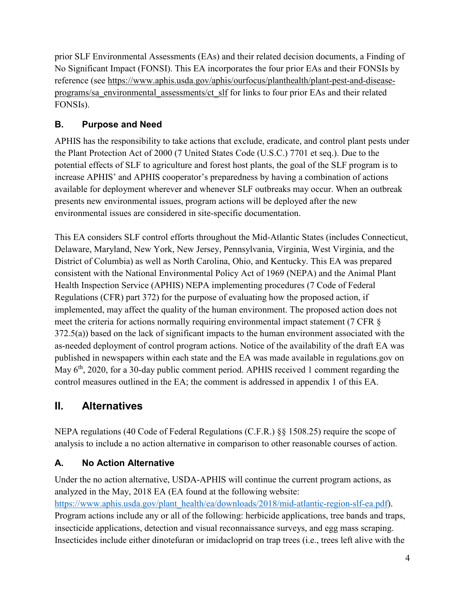prior SLF Environmental Assessments (EAs) and their related decision documents, a Finding of No Significant Impact (FONSI). This EA incorporates the four prior EAs and their FONSIs by reference (see [https://www.aphis.usda.gov/aphis/ourfocus/planthealth/plant-pest-and-disease](https://www.aphis.usda.gov/aphis/ourfocus/planthealth/plant-pest-and-disease-programs/sa_environmental_assessments/ct_slf)[programs/sa\\_environmental\\_assessments/ct\\_slf](https://www.aphis.usda.gov/aphis/ourfocus/planthealth/plant-pest-and-disease-programs/sa_environmental_assessments/ct_slf) for links to four prior EAs and their related FONSIs).

#### <span id="page-6-0"></span>**B. Purpose and Need**

APHIS has the responsibility to take actions that exclude, eradicate, and control plant pests under the Plant Protection Act of 2000 (7 United States Code (U.S.C.) 7701 et seq.). Due to the potential effects of SLF to agriculture and forest host plants, the goal of the SLF program is to increase APHIS' and APHIS cooperator's preparedness by having a combination of actions available for deployment wherever and whenever SLF outbreaks may occur. When an outbreak presents new environmental issues, program actions will be deployed after the new environmental issues are considered in site-specific documentation.

This EA considers SLF control efforts throughout the Mid-Atlantic States (includes Connecticut, Delaware, Maryland, New York, New Jersey, Pennsylvania, Virginia, West Virginia, and the District of Columbia) as well as North Carolina, Ohio, and Kentucky. This EA was prepared consistent with the National Environmental Policy Act of 1969 (NEPA) and the Animal Plant Health Inspection Service (APHIS) NEPA implementing procedures (7 Code of Federal Regulations (CFR) part 372) for the purpose of evaluating how the proposed action, if implemented, may affect the quality of the human environment. The proposed action does not meet the criteria for actions normally requiring environmental impact statement (7 CFR § 372.5(a)) based on the lack of significant impacts to the human environment associated with the as-needed deployment of control program actions. Notice of the availability of the draft EA was published in newspapers within each state and the EA was made available in regulations.gov on May  $6<sup>th</sup>$ , 2020, for a 30-day public comment period. APHIS received 1 comment regarding the control measures outlined in the EA; the comment is addressed in appendix 1 of this EA.

## <span id="page-6-1"></span>**II. Alternatives**

NEPA regulations (40 Code of Federal Regulations (C.F.R.) §§ 1508.25) require the scope of analysis to include a no action alternative in comparison to other reasonable courses of action.

### <span id="page-6-2"></span>**A. No Action Alternative**

Under the no action alternative, USDA-APHIS will continue the current program actions, as analyzed in the May, 2018 EA (EA found at the following website: [https://www.aphis.usda.gov/plant\\_health/ea/downloads/2018/mid-atlantic-region-slf-ea.pdf\)](https://www.aphis.usda.gov/plant_health/ea/downloads/2018/mid-atlantic-region-slf-ea.pdf). Program actions include any or all of the following: herbicide applications, tree bands and traps, insecticide applications, detection and visual reconnaissance surveys, and egg mass scraping. Insecticides include either dinotefuran or imidacloprid on trap trees (i.e., trees left alive with the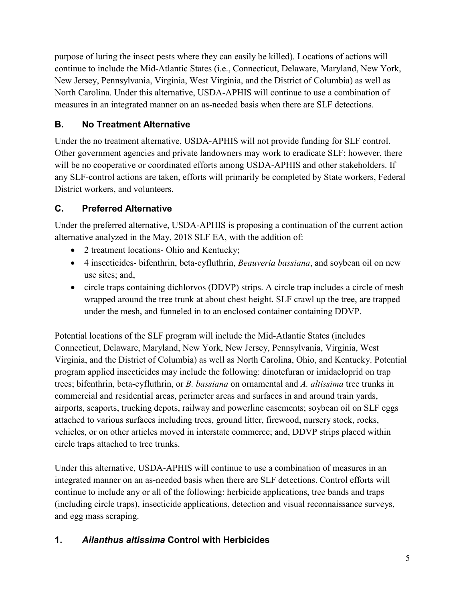purpose of luring the insect pests where they can easily be killed). Locations of actions will continue to include the Mid-Atlantic States (i.e., Connecticut, Delaware, Maryland, New York, New Jersey, Pennsylvania, Virginia, West Virginia, and the District of Columbia) as well as North Carolina. Under this alternative, USDA-APHIS will continue to use a combination of measures in an integrated manner on an as-needed basis when there are SLF detections.

#### **B. No Treatment Alternative**

Under the no treatment alternative, USDA-APHIS will not provide funding for SLF control. Other government agencies and private landowners may work to eradicate SLF; however, there will be no cooperative or coordinated efforts among USDA-APHIS and other stakeholders. If any SLF-control actions are taken, efforts will primarily be completed by State workers, Federal District workers, and volunteers.

### <span id="page-7-0"></span>**C. Preferred Alternative**

Under the preferred alternative, USDA-APHIS is proposing a continuation of the current action alternative analyzed in the May, 2018 SLF EA, with the addition of:

- 2 treatment locations- Ohio and Kentucky;
- 4 insecticides- bifenthrin, beta-cyfluthrin, *Beauveria bassiana*, and soybean oil on new use sites; and,
- circle traps containing dichlorvos (DDVP) strips. A circle trap includes a circle of mesh wrapped around the tree trunk at about chest height. SLF crawl up the tree, are trapped under the mesh, and funneled in to an enclosed container containing DDVP.

Potential locations of the SLF program will include the Mid-Atlantic States (includes Connecticut, Delaware, Maryland, New York, New Jersey, Pennsylvania, Virginia, West Virginia, and the District of Columbia) as well as North Carolina, Ohio, and Kentucky. Potential program applied insecticides may include the following: dinotefuran or imidacloprid on trap trees; bifenthrin, beta-cyfluthrin, or *B. bassiana* on ornamental and *A. altissima* tree trunks in commercial and residential areas, perimeter areas and surfaces in and around train yards, airports, seaports, trucking depots, railway and powerline easements; soybean oil on SLF eggs attached to various surfaces including trees, ground litter, firewood, nursery stock, rocks, vehicles, or on other articles moved in interstate commerce; and, DDVP strips placed within circle traps attached to tree trunks.

Under this alternative, USDA-APHIS will continue to use a combination of measures in an integrated manner on an as-needed basis when there are SLF detections. Control efforts will continue to include any or all of the following: herbicide applications, tree bands and traps (including circle traps), insecticide applications, detection and visual reconnaissance surveys, and egg mass scraping.

#### **1.** *Ailanthus altissima* **Control with Herbicides**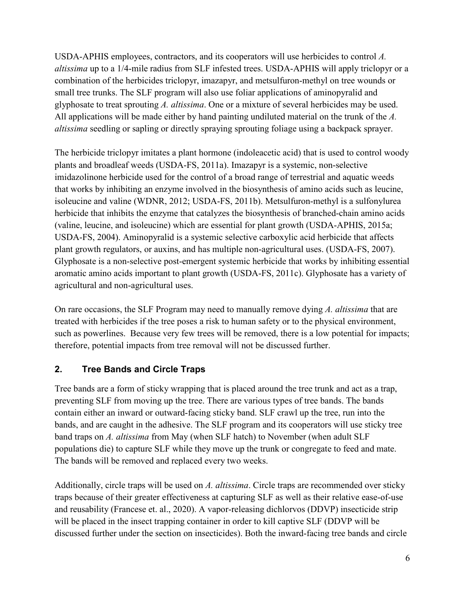USDA-APHIS employees, contractors, and its cooperators will use herbicides to control *A. altissima* up to a 1/4-mile radius from SLF infested trees. USDA-APHIS will apply triclopyr or a combination of the herbicides triclopyr, imazapyr, and metsulfuron-methyl on tree wounds or small tree trunks. The SLF program will also use foliar applications of aminopyralid and glyphosate to treat sprouting *A. altissima*. One or a mixture of several herbicides may be used. All applications will be made either by hand painting undiluted material on the trunk of the *A. altissima* seedling or sapling or directly spraying sprouting foliage using a backpack sprayer.

The herbicide triclopyr imitates a plant hormone (indoleacetic acid) that is used to control woody plants and broadleaf weeds (USDA-FS, 2011a). Imazapyr is a systemic, non-selective imidazolinone herbicide used for the control of a broad range of terrestrial and aquatic weeds that works by inhibiting an enzyme involved in the biosynthesis of amino acids such as leucine, isoleucine and valine (WDNR, 2012; USDA-FS, 2011b). Metsulfuron-methyl is a sulfonylurea herbicide that inhibits the enzyme that catalyzes the biosynthesis of branched-chain amino acids (valine, leucine, and isoleucine) which are essential for plant growth (USDA-APHIS, 2015a; USDA-FS, 2004). Aminopyralid is a systemic selective carboxylic acid herbicide that affects plant growth regulators, or auxins, and has multiple non-agricultural uses. (USDA-FS, 2007). Glyphosate is a non-selective post-emergent systemic herbicide that works by inhibiting essential aromatic amino acids important to plant growth (USDA-FS, 2011c). Glyphosate has a variety of agricultural and non-agricultural uses.

On rare occasions, the SLF Program may need to manually remove dying *A. altissima* that are treated with herbicides if the tree poses a risk to human safety or to the physical environment, such as powerlines. Because very few trees will be removed, there is a low potential for impacts; therefore, potential impacts from tree removal will not be discussed further.

#### **2. Tree Bands and Circle Traps**

Tree bands are a form of sticky wrapping that is placed around the tree trunk and act as a trap, preventing SLF from moving up the tree. There are various types of tree bands. The bands contain either an inward or outward-facing sticky band. SLF crawl up the tree, run into the bands, and are caught in the adhesive. The SLF program and its cooperators will use sticky tree band traps on *A. altissima* from May (when SLF hatch) to November (when adult SLF populations die) to capture SLF while they move up the trunk or congregate to feed and mate. The bands will be removed and replaced every two weeks.

Additionally, circle traps will be used on *A. altissima*. Circle traps are recommended over sticky traps because of their greater effectiveness at capturing SLF as well as their relative ease-of-use and reusability (Francese et. al., 2020). A vapor-releasing dichlorvos (DDVP) insecticide strip will be placed in the insect trapping container in order to kill captive SLF (DDVP will be discussed further under the section on insecticides). Both the inward-facing tree bands and circle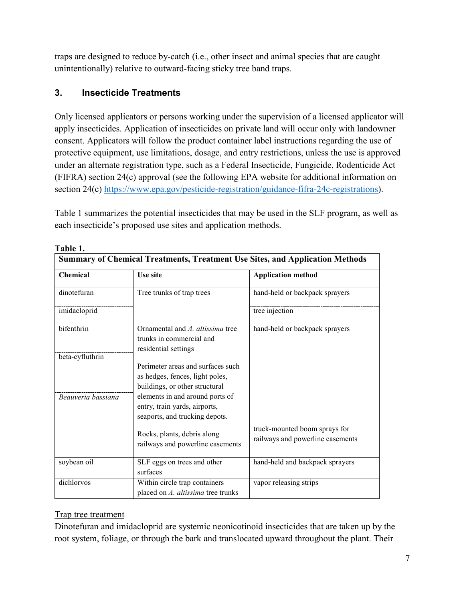traps are designed to reduce by-catch (i.e., other insect and animal species that are caught unintentionally) relative to outward-facing sticky tree band traps.

#### **3. Insecticide Treatments**

Only licensed applicators or persons working under the supervision of a licensed applicator will apply insecticides. Application of insecticides on private land will occur only with landowner consent. Applicators will follow the product container label instructions regarding the use of protective equipment, use limitations, dosage, and entry restrictions, unless the use is approved under an alternate registration type, such as a Federal Insecticide, Fungicide, Rodenticide Act (FIFRA) section 24(c) approval (see the following EPA website for additional information on section 24(c) [https://www.epa.gov/pesticide-registration/guidance-fifra-24c-registrations\)](https://www.epa.gov/pesticide-registration/guidance-fifra-24c-registrations).

Table 1 summarizes the potential insecticides that may be used in the SLF program, as well as each insecticide's proposed use sites and application methods.

| <b>Chemical</b>    | <b>Use site</b>                                                                                        | <b>Summary of Chemical Treatments, Treatment Use Sites, and Application Methods</b><br><b>Application method</b> |  |
|--------------------|--------------------------------------------------------------------------------------------------------|------------------------------------------------------------------------------------------------------------------|--|
| dinotefuran        | Tree trunks of trap trees                                                                              | hand-held or backpack sprayers                                                                                   |  |
| imidacloprid       |                                                                                                        | tree injection                                                                                                   |  |
| bifenthrin         | Ornamental and A. altissima tree<br>trunks in commercial and<br>residential settings                   | hand-held or backpack sprayers                                                                                   |  |
| beta-cyfluthrin    | Perimeter areas and surfaces such<br>as hedges, fences, light poles,<br>buildings, or other structural |                                                                                                                  |  |
| Beauveria bassiana | elements in and around ports of<br>entry, train yards, airports,<br>seaports, and trucking depots.     |                                                                                                                  |  |
|                    | Rocks, plants, debris along<br>railways and powerline easements                                        | truck-mounted boom sprays for<br>railways and powerline easements                                                |  |
| soybean oil        | SLF eggs on trees and other<br>surfaces                                                                | hand-held and backpack sprayers                                                                                  |  |
| dichlorvos         | Within circle trap containers<br>placed on A. altissima tree trunks                                    | vapor releasing strips                                                                                           |  |

**Table 1.**

#### Trap tree treatment

Dinotefuran and imidacloprid are systemic neonicotinoid insecticides that are taken up by the root system, foliage, or through the bark and translocated upward throughout the plant. Their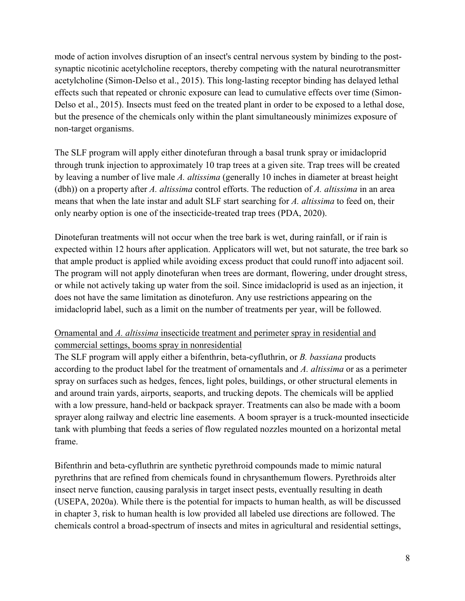mode of action involves disruption of an insect's central nervous system by binding to the postsynaptic nicotinic acetylcholine receptors, thereby competing with the natural neurotransmitter acetylcholine (Simon-Delso et al., 2015). This long-lasting receptor binding has delayed lethal effects such that repeated or chronic exposure can lead to cumulative effects over time (Simon-Delso et al., 2015). Insects must feed on the treated plant in order to be exposed to a lethal dose, but the presence of the chemicals only within the plant simultaneously minimizes exposure of non-target organisms.

The SLF program will apply either dinotefuran through a basal trunk spray or imidacloprid through trunk injection to approximately 10 trap trees at a given site. Trap trees will be created by leaving a number of live male *A. altissima* (generally 10 inches in diameter at breast height (dbh)) on a property after *A. altissima* control efforts. The reduction of *A. altissima* in an area means that when the late instar and adult SLF start searching for *A. altissima* to feed on, their only nearby option is one of the insecticide-treated trap trees (PDA, 2020).

Dinotefuran treatments will not occur when the tree bark is wet, during rainfall, or if rain is expected within 12 hours after application. Applicators will wet, but not saturate, the tree bark so that ample product is applied while avoiding excess product that could runoff into adjacent soil. The program will not apply dinotefuran when trees are dormant, flowering, under drought stress, or while not actively taking up water from the soil. Since imidacloprid is used as an injection, it does not have the same limitation as dinotefuron. Any use restrictions appearing on the imidacloprid label, such as a limit on the number of treatments per year, will be followed.

#### Ornamental and *A. altissima* insecticide treatment and perimeter spray in residential and commercial settings, booms spray in nonresidential

The SLF program will apply either a bifenthrin, beta-cyfluthrin, or *B. bassiana* products according to the product label for the treatment of ornamentals and *A. altissima* or as a perimeter spray on surfaces such as hedges, fences, light poles, buildings, or other structural elements in and around train yards, airports, seaports, and trucking depots. The chemicals will be applied with a low pressure, hand-held or backpack sprayer. Treatments can also be made with a boom sprayer along railway and electric line easements. A boom sprayer is a truck-mounted insecticide tank with plumbing that feeds a series of flow regulated nozzles mounted on a horizontal metal frame.

Bifenthrin and beta-cyfluthrin are synthetic pyrethroid compounds made to mimic natural pyrethrins that are refined from chemicals found in chrysanthemum flowers. Pyrethroids alter insect nerve function, causing paralysis in target insect pests, eventually resulting in death (USEPA, 2020a). While there is the potential for impacts to human health, as will be discussed in chapter 3, risk to human health is low provided all labeled use directions are followed. The chemicals control a broad-spectrum of insects and mites in agricultural and residential settings,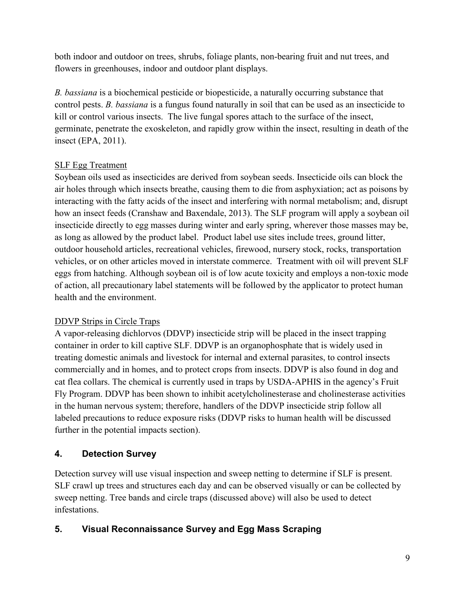both indoor and outdoor on trees, shrubs, foliage plants, non-bearing fruit and nut trees, and flowers in greenhouses, indoor and outdoor plant displays.

*B. bassiana* is a biochemical pesticide or biopesticide, a naturally occurring substance that control pests. *B. bassiana* is a fungus found naturally in soil that can be used as an insecticide to kill or control various insects. The live fungal spores attach to the surface of the insect, germinate, penetrate the exoskeleton, and rapidly grow within the insect, resulting in death of the insect (EPA, 2011).

#### SLF Egg Treatment

Soybean oils used as insecticides are derived from soybean seeds. Insecticide oils can block the air holes through which insects breathe, causing them to die from asphyxiation; act as poisons by interacting with the fatty acids of the insect and interfering with normal metabolism; and, disrupt how an insect feeds (Cranshaw and Baxendale, 2013). The SLF program will apply a soybean oil insecticide directly to egg masses during winter and early spring, wherever those masses may be, as long as allowed by the product label. Product label use sites include trees, ground litter, outdoor household articles, recreational vehicles, firewood, nursery stock, rocks, transportation vehicles, or on other articles moved in interstate commerce. Treatment with oil will prevent SLF eggs from hatching. Although soybean oil is of low acute toxicity and employs a non-toxic mode of action, all precautionary label statements will be followed by the applicator to protect human health and the environment.

#### DDVP Strips in Circle Traps

A vapor-releasing dichlorvos (DDVP) insecticide strip will be placed in the insect trapping container in order to kill captive SLF. DDVP is an organophosphate that is widely used in treating domestic animals and livestock for internal and external parasites, to control insects commercially and in homes, and to protect crops from insects. DDVP is also found in dog and cat flea collars. The chemical is currently used in traps by USDA-APHIS in the agency's Fruit Fly Program. DDVP has been shown to inhibit acetylcholinesterase and cholinesterase activities in the human nervous system; therefore, handlers of the DDVP insecticide strip follow all labeled precautions to reduce exposure risks (DDVP risks to human health will be discussed further in the potential impacts section).

#### **4. Detection Survey**

Detection survey will use visual inspection and sweep netting to determine if SLF is present. SLF crawl up trees and structures each day and can be observed visually or can be collected by sweep netting. Tree bands and circle traps (discussed above) will also be used to detect infestations.

#### **5. Visual Reconnaissance Survey and Egg Mass Scraping**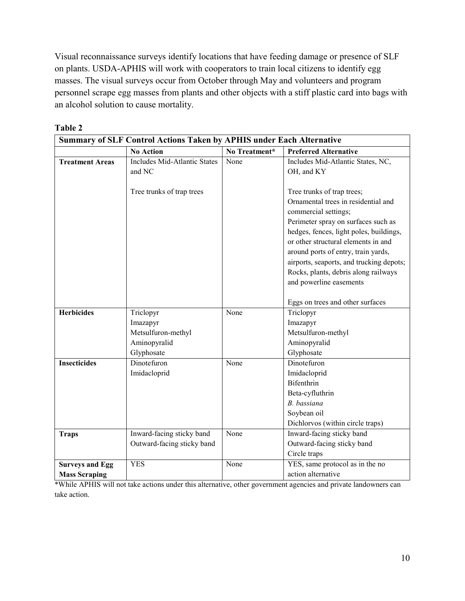Visual reconnaissance surveys identify locations that have feeding damage or presence of SLF on plants. USDA-APHIS will work with cooperators to train local citizens to identify egg masses. The visual surveys occur from October through May and volunteers and program personnel scrape egg masses from plants and other objects with a stiff plastic card into bags with an alcohol solution to cause mortality.

| <b>Summary of SLF Control Actions Taken by APHIS under Each Alternative</b> |                                                                           |               |                                                                                                                                                                                                                                                                                                                                                                          |  |
|-----------------------------------------------------------------------------|---------------------------------------------------------------------------|---------------|--------------------------------------------------------------------------------------------------------------------------------------------------------------------------------------------------------------------------------------------------------------------------------------------------------------------------------------------------------------------------|--|
|                                                                             | <b>No Action</b>                                                          | No Treatment* | <b>Preferred Alternative</b>                                                                                                                                                                                                                                                                                                                                             |  |
| <b>Treatment Areas</b>                                                      | Includes Mid-Atlantic States<br>and NC                                    | None          | Includes Mid-Atlantic States, NC,<br>OH, and KY                                                                                                                                                                                                                                                                                                                          |  |
|                                                                             | Tree trunks of trap trees                                                 |               | Tree trunks of trap trees;<br>Ornamental trees in residential and<br>commercial settings;<br>Perimeter spray on surfaces such as<br>hedges, fences, light poles, buildings,<br>or other structural elements in and<br>around ports of entry, train yards,<br>airports, seaports, and trucking depots;<br>Rocks, plants, debris along railways<br>and powerline easements |  |
|                                                                             |                                                                           |               | Eggs on trees and other surfaces                                                                                                                                                                                                                                                                                                                                         |  |
| <b>Herbicides</b>                                                           | Triclopyr<br>Imazapyr<br>Metsulfuron-methyl<br>Aminopyralid<br>Glyphosate | None          | Triclopyr<br>Imazapyr<br>Metsulfuron-methyl<br>Aminopyralid<br>Glyphosate                                                                                                                                                                                                                                                                                                |  |
| Insecticides                                                                | Dinotefuron<br>Imidacloprid                                               | None          | Dinotefuron<br>Imidacloprid<br>Bifenthrin<br>Beta-cyfluthrin<br>B. bassiana<br>Soybean oil<br>Dichlorvos (within circle traps)                                                                                                                                                                                                                                           |  |
| <b>Traps</b>                                                                | Inward-facing sticky band<br>Outward-facing sticky band                   | None          | Inward-facing sticky band<br>Outward-facing sticky band<br>Circle traps                                                                                                                                                                                                                                                                                                  |  |
| <b>Surveys and Egg</b><br><b>Mass Scraping</b>                              | <b>YES</b>                                                                | None          | YES, same protocol as in the no<br>action alternative                                                                                                                                                                                                                                                                                                                    |  |

**Table 2**

\*While APHIS will not take actions under this alternative, other government agencies and private landowners can take action.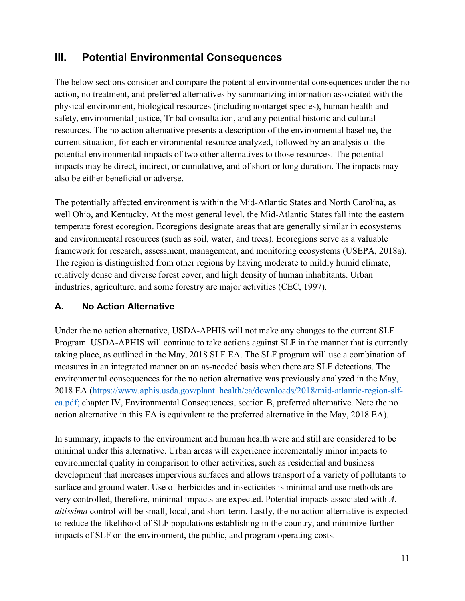### <span id="page-13-0"></span>**III. Potential Environmental Consequences**

The below sections consider and compare the potential environmental consequences under the no action, no treatment, and preferred alternatives by summarizing information associated with the physical environment, biological resources (including nontarget species), human health and safety, environmental justice, Tribal consultation, and any potential historic and cultural resources. The no action alternative presents a description of the environmental baseline, the current situation, for each environmental resource analyzed, followed by an analysis of the potential environmental impacts of two other alternatives to those resources. The potential impacts may be direct, indirect, or cumulative, and of short or long duration. The impacts may also be either beneficial or adverse.

The potentially affected environment is within the Mid-Atlantic States and North Carolina, as well Ohio, and Kentucky. At the most general level, the Mid-Atlantic States fall into the eastern temperate forest ecoregion. Ecoregions designate areas that are generally similar in ecosystems and environmental resources (such as soil, water, and trees). Ecoregions serve as a valuable framework for research, assessment, management, and monitoring ecosystems (USEPA, 2018a). The region is distinguished from other regions by having moderate to mildly humid climate, relatively dense and diverse forest cover, and high density of human inhabitants. Urban industries, agriculture, and some forestry are major activities (CEC, 1997).

#### **A. No Action Alternative**

Under the no action alternative, USDA-APHIS will not make any changes to the current SLF Program. USDA-APHIS will continue to take actions against SLF in the manner that is currently taking place, as outlined in the May, 2018 SLF EA. The SLF program will use a combination of measures in an integrated manner on an as-needed basis when there are SLF detections. The environmental consequences for the no action alternative was previously analyzed in the May, 2018 EA [\(https://www.aphis.usda.gov/plant\\_health/ea/downloads/2018/mid-atlantic-region-slf](https://www.aphis.usda.gov/plant_health/ea/downloads/2018/mid-atlantic-region-slf-ea.pdf)[ea.pdf;](https://www.aphis.usda.gov/plant_health/ea/downloads/2018/mid-atlantic-region-slf-ea.pdf) chapter IV, Environmental Consequences, section B, preferred alternative. Note the no action alternative in this EA is equivalent to the preferred alternative in the May, 2018 EA).

In summary, impacts to the environment and human health were and still are considered to be minimal under this alternative. Urban areas will experience incrementally minor impacts to environmental quality in comparison to other activities, such as residential and business development that increases impervious surfaces and allows transport of a variety of pollutants to surface and ground water. Use of herbicides and insecticides is minimal and use methods are very controlled, therefore, minimal impacts are expected. Potential impacts associated with *A. altissima* control will be small, local, and short-term. Lastly, the no action alternative is expected to reduce the likelihood of SLF populations establishing in the country, and minimize further impacts of SLF on the environment, the public, and program operating costs.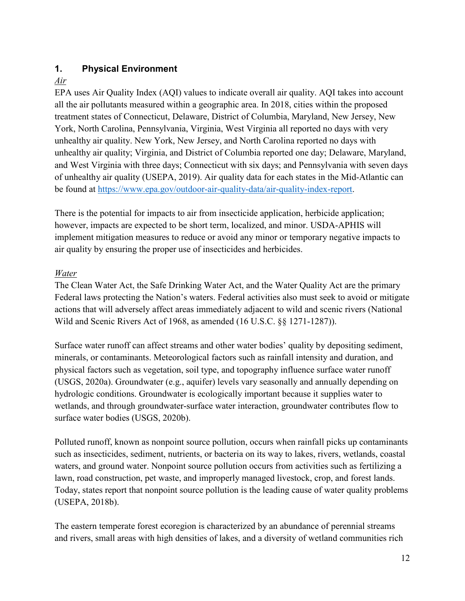#### <span id="page-14-0"></span>**1. Physical Environment**

#### *Air*

EPA uses Air Quality Index (AQI) values to indicate overall air quality. AQI takes into account all the air pollutants measured within a geographic area. In 2018, cities within the proposed treatment states of Connecticut, Delaware, District of Columbia, Maryland, New Jersey, New York, North Carolina, Pennsylvania, Virginia, West Virginia all reported no days with very unhealthy air quality. New York, New Jersey, and North Carolina reported no days with unhealthy air quality; Virginia, and District of Columbia reported one day; Delaware, Maryland, and West Virginia with three days; Connecticut with six days; and Pennsylvania with seven days of unhealthy air quality (USEPA, 2019). Air quality data for each states in the Mid-Atlantic can be found at [https://www.epa.gov/outdoor-air-quality-data/air-quality-index-report.](https://www.epa.gov/outdoor-air-quality-data/air-quality-index-report)

There is the potential for impacts to air from insecticide application, herbicide application; however, impacts are expected to be short term, localized, and minor. USDA-APHIS will implement mitigation measures to reduce or avoid any minor or temporary negative impacts to air quality by ensuring the proper use of insecticides and herbicides.

#### *Water*

The Clean Water Act, the Safe Drinking Water Act, and the Water Quality Act are the primary Federal laws protecting the Nation's waters. Federal activities also must seek to avoid or mitigate actions that will adversely affect areas immediately adjacent to wild and scenic rivers (National Wild and Scenic Rivers Act of 1968, as amended (16 U.S.C. §§ 1271-1287)).

Surface water runoff can affect streams and other water bodies' quality by depositing sediment, minerals, or contaminants. Meteorological factors such as rainfall intensity and duration, and physical factors such as vegetation, soil type, and topography influence surface water runoff (USGS, 2020a). Groundwater (e.g., aquifer) levels vary seasonally and annually depending on hydrologic conditions. Groundwater is ecologically important because it supplies water to wetlands, and through groundwater-surface water interaction, groundwater contributes flow to surface water bodies (USGS, 2020b).

Polluted runoff, known as nonpoint source pollution, occurs when rainfall picks up contaminants such as insecticides, sediment, nutrients, or bacteria on its way to lakes, rivers, wetlands, coastal waters, and ground water. Nonpoint source pollution occurs from activities such as fertilizing a lawn, road construction, pet waste, and improperly managed livestock, crop, and forest lands. Today, states report that nonpoint source pollution is the leading cause of water quality problems (USEPA, 2018b).

The eastern temperate forest ecoregion is characterized by an abundance of perennial streams and rivers, small areas with high densities of lakes, and a diversity of wetland communities rich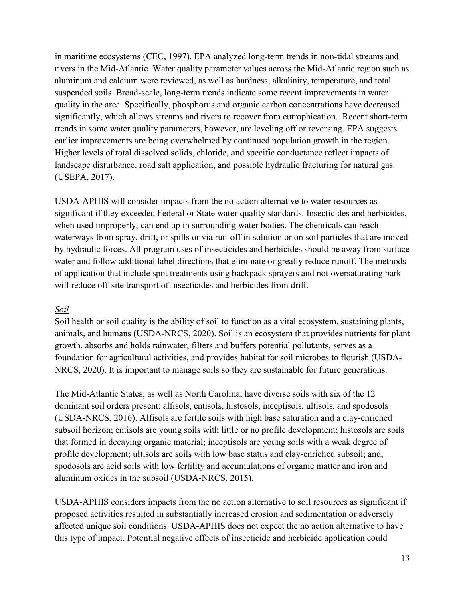in maritime ecosystems (CEC, 1997). EPA analyzed long-term trends in non-tidal streams and rivers in the Mid-Atlantic. Water quality parameter values across the Mid-Atlantic region such as aluminum and calcium were reviewed, as well as hardness, alkalinity, temperature, and total suspended soils. Broad-scale, long-term trends indicate some recent improvements in water quality in the area. Specifically, phosphorus and organic carbon concentrations have decreased significantly, which allows streams and rivers to recover from eutrophication. Recent short-term trends in some water quality parameters, however, are leveling off or reversing. EPA suggests earlier improvements are being overwhelmed by continued population growth in the region. Higher levels of total dissolved solids, chloride, and specific conductance reflect impacts of landscape disturbance, road salt application, and possible hydraulic fracturing for natural gas. (USEPA, 2017).

USDA-APHIS will consider impacts from the no action alternative to water resources as significant if they exceeded Federal or State water quality standards. Insecticides and herbicides, when used improperly, can end up in surrounding water bodies. The chemicals can reach waterways from spray, drift, or spills or via run-off in solution or on soil particles that are moved by hydraulic forces. All program uses of insecticides and herbicides should be away from surface water and follow additional label directions that eliminate or greatly reduce runoff. The methods of application that include spot treatments using backpack sprayers and not oversaturating bark will reduce off-site transport of insecticides and herbicides from drift.

#### *Soil*

Soil health or soil quality is the ability of soil to function as a vital ecosystem, sustaining plants, animals, and humans (USDA-NRCS, 2020). Soil is an ecosystem that provides nutrients for plant growth, absorbs and holds rainwater, filters and buffers potential pollutants, serves as a foundation for agricultural activities, and provides habitat for soil microbes to flourish (USDA-NRCS, 2020). It is important to manage soils so they are sustainable for future generations.

The Mid-Atlantic States, as well as North Carolina, have diverse soils with six of the 12 dominant soil orders present: alfisols, entisols, histosols, inceptisols, ultisols, and spodosols (USDA-NRCS, 2016). Alfisols are fertile soils with high base saturation and a clay-enriched subsoil horizon; entisols are young soils with little or no profile development; histosols are soils that formed in decaying organic material; inceptisols are young soils with a weak degree of profile development; ultisols are soils with low base status and clay-enriched subsoil; and, spodosols are acid soils with low fertility and accumulations of organic matter and iron and aluminum oxides in the subsoil (USDA-NRCS, 2015).

USDA-APHIS considers impacts from the no action alternative to soil resources as significant if proposed activities resulted in substantially increased erosion and sedimentation or adversely affected unique soil conditions. USDA-APHIS does not expect the no action alternative to have this type of impact. Potential negative effects of insecticide and herbicide application could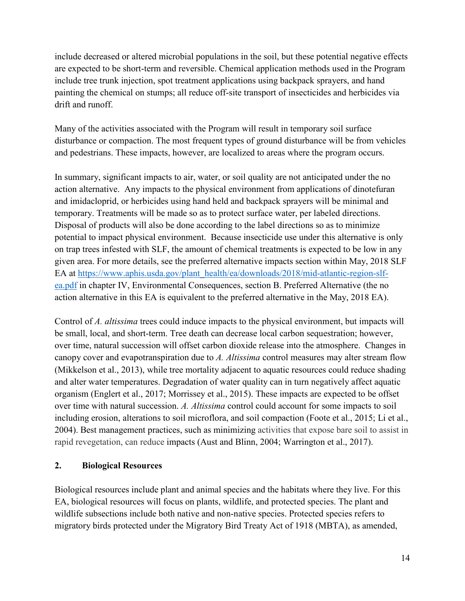include decreased or altered microbial populations in the soil, but these potential negative effects are expected to be short-term and reversible. Chemical application methods used in the Program include tree trunk injection, spot treatment applications using backpack sprayers, and hand painting the chemical on stumps; all reduce off-site transport of insecticides and herbicides via drift and runoff.

Many of the activities associated with the Program will result in temporary soil surface disturbance or compaction. The most frequent types of ground disturbance will be from vehicles and pedestrians. These impacts, however, are localized to areas where the program occurs.

In summary, significant impacts to air, water, or soil quality are not anticipated under the no action alternative. Any impacts to the physical environment from applications of dinotefuran and imidacloprid, or herbicides using hand held and backpack sprayers will be minimal and temporary. Treatments will be made so as to protect surface water, per labeled directions. Disposal of products will also be done according to the label directions so as to minimize potential to impact physical environment. Because insecticide use under this alternative is only on trap trees infested with SLF, the amount of chemical treatments is expected to be low in any given area. For more details, see the preferred alternative impacts section within May, 2018 SLF EA at [https://www.aphis.usda.gov/plant\\_health/ea/downloads/2018/mid-atlantic-region-slf](https://www.aphis.usda.gov/plant_health/ea/downloads/2018/mid-atlantic-region-slf-ea.pdf)[ea.pdf](https://www.aphis.usda.gov/plant_health/ea/downloads/2018/mid-atlantic-region-slf-ea.pdf) in chapter IV, Environmental Consequences, section B. Preferred Alternative (the no action alternative in this EA is equivalent to the preferred alternative in the May, 2018 EA).

Control of *A. altissima* trees could induce impacts to the physical environment, but impacts will be small, local, and short-term. Tree death can decrease local carbon sequestration; however, over time, natural succession will offset carbon dioxide release into the atmosphere. Changes in canopy cover and evapotranspiration due to *A. Altissima* control measures may alter stream flow (Mikkelson et al., 2013), while tree mortality adjacent to aquatic resources could reduce shading and alter water temperatures. Degradation of water quality can in turn negatively affect aquatic organism (Englert et al., 2017; Morrissey et al., 2015). These impacts are expected to be offset over time with natural succession. *A. Altissima* control could account for some impacts to soil including erosion, alterations to soil microflora, and soil compaction (Foote et al., 2015; Li et al., 2004). Best management practices, such as minimizing activities that expose bare soil to assist in rapid revegetation, can reduce impacts (Aust and Blinn, 2004; Warrington et al., 2017).

#### <span id="page-16-0"></span>**2. Biological Resources**

Biological resources include plant and animal species and the habitats where they live. For this EA, biological resources will focus on plants, wildlife, and protected species. The plant and wildlife subsections include both native and non-native species. Protected species refers to migratory birds protected under the Migratory Bird Treaty Act of 1918 (MBTA), as amended,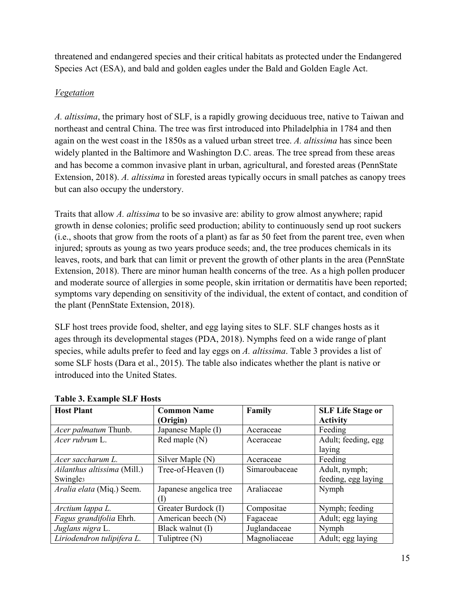threatened and endangered species and their critical habitats as protected under the Endangered Species Act (ESA), and bald and golden eagles under the Bald and Golden Eagle Act.

#### *Vegetation*

*A. altissima*, the primary host of SLF, is a rapidly growing deciduous tree, native to Taiwan and northeast and central China. The tree was first introduced into Philadelphia in 1784 and then again on the west coast in the 1850s as a valued urban street tree. *A. altissima* has since been widely planted in the Baltimore and Washington D.C. areas. The tree spread from these areas and has become a common invasive plant in urban, agricultural, and forested areas (PennState Extension, 2018). *A. altissima* in forested areas typically occurs in small patches as canopy trees but can also occupy the understory.

Traits that allow *A. altissima* to be so invasive are: ability to grow almost anywhere; rapid growth in dense colonies; prolific seed production; ability to continuously send up root suckers (i.e., shoots that grow from the roots of a plant) as far as 50 feet from the parent tree, even when injured; sprouts as young as two years produce seeds; and, the tree produces chemicals in its leaves, roots, and bark that can limit or prevent the growth of other plants in the area (PennState Extension, 2018). There are minor human health concerns of the tree. As a high pollen producer and moderate source of allergies in some people, skin irritation or dermatitis have been reported; symptoms vary depending on sensitivity of the individual, the extent of contact, and condition of the plant (PennState Extension, 2018).

SLF host trees provide food, shelter, and egg laying sites to SLF. SLF changes hosts as it ages through its developmental stages (PDA, 2018). Nymphs feed on a wide range of plant species, while adults prefer to feed and lay eggs on *A. altissima*. Table 3 provides a list of some SLF hosts (Dara et al., 2015). The table also indicates whether the plant is native or introduced into the United States.

| <b>Host Plant</b>           | <b>Common Name</b>     | Family        | <b>SLF Life Stage or</b> |
|-----------------------------|------------------------|---------------|--------------------------|
|                             | (Origin)               |               | <b>Activity</b>          |
| Acer palmatum Thunb.        | Japanese Maple (I)     | Aceraceae     | Feeding                  |
| Acer rubrum L.              | Red maple (N)          | Aceraceae     | Adult; feeding, egg      |
|                             |                        |               | laying                   |
| Acer saccharum L.           | Silver Maple (N)       | Aceraceae     | Feeding                  |
| Ailanthus altissima (Mill.) | Tree-of-Heaven (I)     | Simaroubaceae | Adult, nymph;            |
| Swingle <sub>3</sub>        |                        |               | feeding, egg laying      |
| Aralia elata (Miq.) Seem.   | Japanese angelica tree | Araliaceae    | Nymph                    |
|                             | T.                     |               |                          |
| Arctium lappa L.            | Greater Burdock (I)    | Compositae    | Nymph; feeding           |
| Fagus grandifolia Ehrh.     | American beech (N)     | Fagaceae      | Adult; egg laying        |
| Juglans nigra L.            | Black walnut (I)       | Juglandaceae  | Nymph                    |
| Liriodendron tulipifera L.  | Tuliptree (N)          | Magnoliaceae  | Adult; egg laying        |

#### **Table 3. Example SLF Hosts**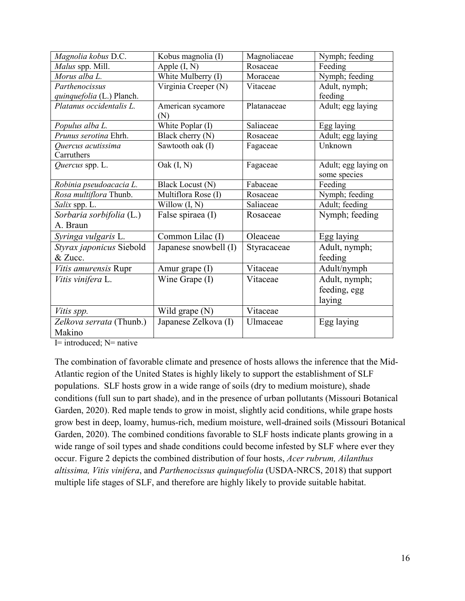| Magnolia kobus D.C.       | Kobus magnolia (I)      | Magnoliaceae | Nymph; feeding       |
|---------------------------|-------------------------|--------------|----------------------|
| Malus spp. Mill.          | Apple $(I, N)$          | Rosaceae     | Feeding              |
| Morus alba L.             | White Mulberry (I)      | Moraceae     | Nymph; feeding       |
| Parthenocissus            | Virginia Creeper (N)    | Vitaceae     | Adult, nymph;        |
| quinquefolia (L.) Planch. |                         |              | feeding              |
| Platanus occidentalis L.  | American sycamore       | Platanaceae  | Adult; egg laying    |
|                           | (N)                     |              |                      |
| Populus alba L.           | White Poplar (I)        | Saliaceae    | Egg laying           |
| Prunus serotina Ehrh.     | Black cherry (N)        | Rosaceae     | Adult; egg laying    |
| Quercus acutissima        | Sawtooth oak (I)        | Fagaceae     | Unknown              |
| Carruthers                |                         |              |                      |
| Quercus spp. L.           | $\text{Oak}(I, N)$      | Fagaceae     | Adult; egg laying on |
|                           |                         |              | some species         |
| Robinia pseudoacacia L.   | <b>Black Locust (N)</b> | Fabaceae     | Feeding              |
| Rosa multiflora Thunb.    | Multiflora Rose (I)     | Rosaceae     | Nymph; feeding       |
| Salix spp. L.             | Willow $(I, N)$         | Saliaceae    | Adult; feeding       |
| Sorbaria sorbifolia (L.)  | False spiraea (I)       | Rosaceae     | Nymph; feeding       |
| A. Braun                  |                         |              |                      |
| Syringa vulgaris L.       | Common Lilac (I)        | Oleaceae     | Egg laying           |
| Styrax japonicus Siebold  | Japanese snowbell (I)   | Styracaceae  | Adult, nymph;        |
| & Zucc.                   |                         |              | feeding              |
| Vitis amurensis Rupr      | Amur grape (I)          | Vitaceae     | Adult/nymph          |
| Vitis vinifera L.         | Wine Grape (I)          | Vitaceae     | Adult, nymph;        |
|                           |                         |              | feeding, egg         |
|                           |                         |              | laying               |
| Vitis spp.                | Wild grape $(N)$        | Vitaceae     |                      |
| Zelkova serrata (Thunb.)  | Japanese Zelkova (I)    | Ulmaceae     | Egg laying           |
| Makino                    |                         |              |                      |

I= introduced; N= native

The combination of favorable climate and presence of hosts allows the inference that the Mid-Atlantic region of the United States is highly likely to support the establishment of SLF populations. SLF hosts grow in a wide range of soils (dry to medium moisture), shade conditions (full sun to part shade), and in the presence of urban pollutants (Missouri Botanical Garden, 2020). Red maple tends to grow in moist, slightly acid conditions, while grape hosts grow best in deep, loamy, humus-rich, medium moisture, well-drained soils (Missouri Botanical Garden, 2020). The combined conditions favorable to SLF hosts indicate plants growing in a wide range of soil types and shade conditions could become infested by SLF where ever they occur. Figure 2 depicts the combined distribution of four hosts, *Acer rubrum, Ailanthus altissima, Vitis vinifera*, and *Parthenocissus quinquefolia* (USDA-NRCS, 2018) that support multiple life stages of SLF, and therefore are highly likely to provide suitable habitat.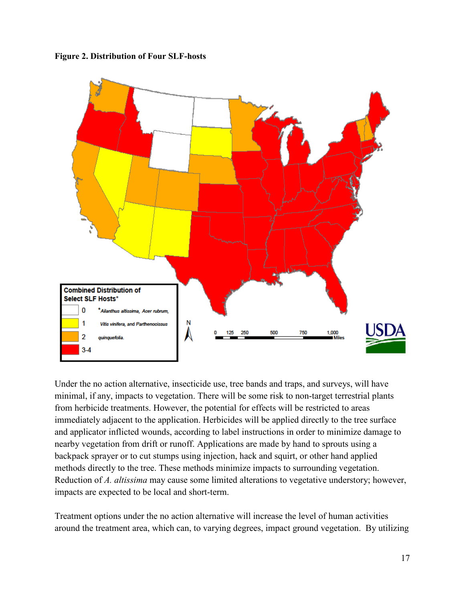**Figure 2. Distribution of Four SLF-hosts**



Under the no action alternative, insecticide use, tree bands and traps, and surveys, will have minimal, if any, impacts to vegetation. There will be some risk to non-target terrestrial plants from herbicide treatments. However, the potential for effects will be restricted to areas immediately adjacent to the application. Herbicides will be applied directly to the tree surface and applicator inflicted wounds, according to label instructions in order to minimize damage to nearby vegetation from drift or runoff. Applications are made by hand to sprouts using a backpack sprayer or to cut stumps using injection, hack and squirt, or other hand applied methods directly to the tree. These methods minimize impacts to surrounding vegetation. Reduction of *A. altissima* may cause some limited alterations to vegetative understory; however, impacts are expected to be local and short-term.

Treatment options under the no action alternative will increase the level of human activities around the treatment area, which can, to varying degrees, impact ground vegetation. By utilizing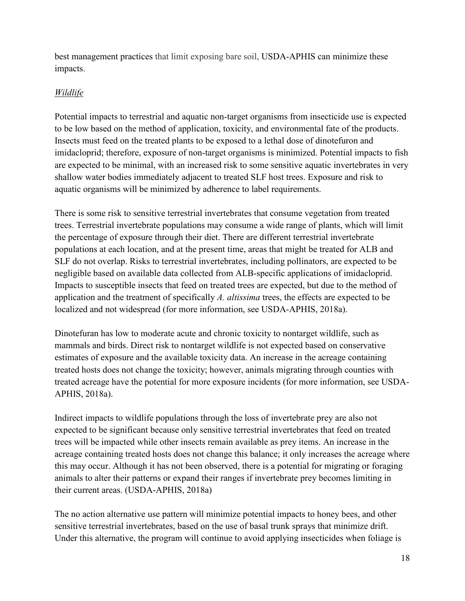best management practices that limit exposing bare soil, USDA-APHIS can minimize these impacts.

#### *Wildlife*

Potential impacts to terrestrial and aquatic non-target organisms from insecticide use is expected to be low based on the method of application, toxicity, and environmental fate of the products. Insects must feed on the treated plants to be exposed to a lethal dose of dinotefuron and imidacloprid; therefore, exposure of non-target organisms is minimized. Potential impacts to fish are expected to be minimal, with an increased risk to some sensitive aquatic invertebrates in very shallow water bodies immediately adjacent to treated SLF host trees. Exposure and risk to aquatic organisms will be minimized by adherence to label requirements.

There is some risk to sensitive terrestrial invertebrates that consume vegetation from treated trees. Terrestrial invertebrate populations may consume a wide range of plants, which will limit the percentage of exposure through their diet. There are different terrestrial invertebrate populations at each location, and at the present time, areas that might be treated for ALB and SLF do not overlap. Risks to terrestrial invertebrates, including pollinators, are expected to be negligible based on available data collected from ALB-specific applications of imidacloprid. Impacts to susceptible insects that feed on treated trees are expected, but due to the method of application and the treatment of specifically *A. altissima* trees, the effects are expected to be localized and not widespread (for more information, see USDA-APHIS, 2018a).

Dinotefuran has low to moderate acute and chronic toxicity to nontarget wildlife, such as mammals and birds. Direct risk to nontarget wildlife is not expected based on conservative estimates of exposure and the available toxicity data. An increase in the acreage containing treated hosts does not change the toxicity; however, animals migrating through counties with treated acreage have the potential for more exposure incidents (for more information, see USDA-APHIS, 2018a).

Indirect impacts to wildlife populations through the loss of invertebrate prey are also not expected to be significant because only sensitive terrestrial invertebrates that feed on treated trees will be impacted while other insects remain available as prey items. An increase in the acreage containing treated hosts does not change this balance; it only increases the acreage where this may occur. Although it has not been observed, there is a potential for migrating or foraging animals to alter their patterns or expand their ranges if invertebrate prey becomes limiting in their current areas. (USDA-APHIS, 2018a)

The no action alternative use pattern will minimize potential impacts to honey bees, and other sensitive terrestrial invertebrates, based on the use of basal trunk sprays that minimize drift. Under this alternative, the program will continue to avoid applying insecticides when foliage is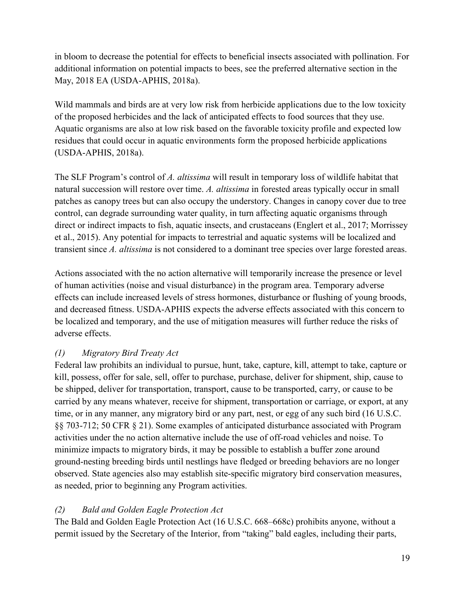in bloom to decrease the potential for effects to beneficial insects associated with pollination. For additional information on potential impacts to bees, see the preferred alternative section in the May, 2018 EA (USDA-APHIS, 2018a).

Wild mammals and birds are at very low risk from herbicide applications due to the low toxicity of the proposed herbicides and the lack of anticipated effects to food sources that they use. Aquatic organisms are also at low risk based on the favorable toxicity profile and expected low residues that could occur in aquatic environments form the proposed herbicide applications (USDA-APHIS, 2018a).

The SLF Program's control of *A. altissima* will result in temporary loss of wildlife habitat that natural succession will restore over time. *A. altissima* in forested areas typically occur in small patches as canopy trees but can also occupy the understory. Changes in canopy cover due to tree control, can degrade surrounding water quality, in turn affecting aquatic organisms through direct or indirect impacts to fish, aquatic insects, and crustaceans (Englert et al., 2017; Morrissey et al., 2015). Any potential for impacts to terrestrial and aquatic systems will be localized and transient since *A. altissima* is not considered to a dominant tree species over large forested areas.

Actions associated with the no action alternative will temporarily increase the presence or level of human activities (noise and visual disturbance) in the program area. Temporary adverse effects can include increased levels of stress hormones, disturbance or flushing of young broods, and decreased fitness. USDA-APHIS expects the adverse effects associated with this concern to be localized and temporary, and the use of mitigation measures will further reduce the risks of adverse effects.

#### *(1) Migratory Bird Treaty Act*

Federal law prohibits an individual to pursue, hunt, take, capture, kill, attempt to take, capture or kill, possess, offer for sale, sell, offer to purchase, purchase, deliver for shipment, ship, cause to be shipped, deliver for transportation, transport, cause to be transported, carry, or cause to be carried by any means whatever, receive for shipment, transportation or carriage, or export, at any time, or in any manner, any migratory bird or any part, nest, or egg of any such bird (16 U.S.C. §§ 703-712; 50 CFR § 21). Some examples of anticipated disturbance associated with Program activities under the no action alternative include the use of off-road vehicles and noise. To minimize impacts to migratory birds, it may be possible to establish a buffer zone around ground-nesting breeding birds until nestlings have fledged or breeding behaviors are no longer observed. State agencies also may establish site-specific migratory bird conservation measures, as needed, prior to beginning any Program activities.

#### *(2) Bald and Golden Eagle Protection Act*

The Bald and Golden Eagle Protection Act (16 U.S.C. 668–668c) prohibits anyone, without a permit issued by the Secretary of the Interior, from "taking" bald eagles, including their parts,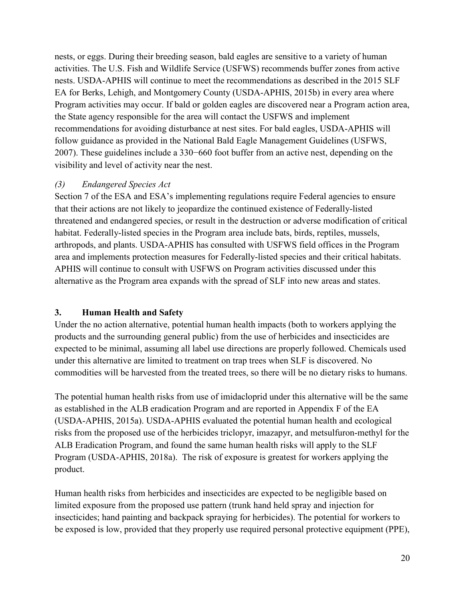nests, or eggs. During their breeding season, bald eagles are sensitive to a variety of human activities. The U.S. Fish and Wildlife Service (USFWS) recommends buffer zones from active nests. USDA-APHIS will continue to meet the recommendations as described in the 2015 SLF EA for Berks, Lehigh, and Montgomery County (USDA-APHIS, 2015b) in every area where Program activities may occur. If bald or golden eagles are discovered near a Program action area, the State agency responsible for the area will contact the USFWS and implement recommendations for avoiding disturbance at nest sites. For bald eagles, USDA-APHIS will follow guidance as provided in the National Bald Eagle Management Guidelines (USFWS, 2007). These guidelines include a 330−660 foot buffer from an active nest, depending on the visibility and level of activity near the nest.

#### *(3) Endangered Species Act*

Section 7 of the ESA and ESA's implementing regulations require Federal agencies to ensure that their actions are not likely to jeopardize the continued existence of Federally-listed threatened and endangered species, or result in the destruction or adverse modification of critical habitat. Federally-listed species in the Program area include bats, birds, reptiles, mussels, arthropods, and plants. USDA-APHIS has consulted with USFWS field offices in the Program area and implements protection measures for Federally-listed species and their critical habitats. APHIS will continue to consult with USFWS on Program activities discussed under this alternative as the Program area expands with the spread of SLF into new areas and states.

#### <span id="page-22-0"></span>**3. Human Health and Safety**

Under the no action alternative, potential human health impacts (both to workers applying the products and the surrounding general public) from the use of herbicides and insecticides are expected to be minimal, assuming all label use directions are properly followed. Chemicals used under this alternative are limited to treatment on trap trees when SLF is discovered. No commodities will be harvested from the treated trees, so there will be no dietary risks to humans.

The potential human health risks from use of imidacloprid under this alternative will be the same as established in the ALB eradication Program and are reported in Appendix F of the EA (USDA-APHIS, 2015a). USDA-APHIS evaluated the potential human health and ecological risks from the proposed use of the herbicides triclopyr, imazapyr, and metsulfuron-methyl for the ALB Eradication Program, and found the same human health risks will apply to the SLF Program (USDA-APHIS, 2018a). The risk of exposure is greatest for workers applying the product.

Human health risks from herbicides and insecticides are expected to be negligible based on limited exposure from the proposed use pattern (trunk hand held spray and injection for insecticides; hand painting and backpack spraying for herbicides). The potential for workers to be exposed is low, provided that they properly use required personal protective equipment (PPE),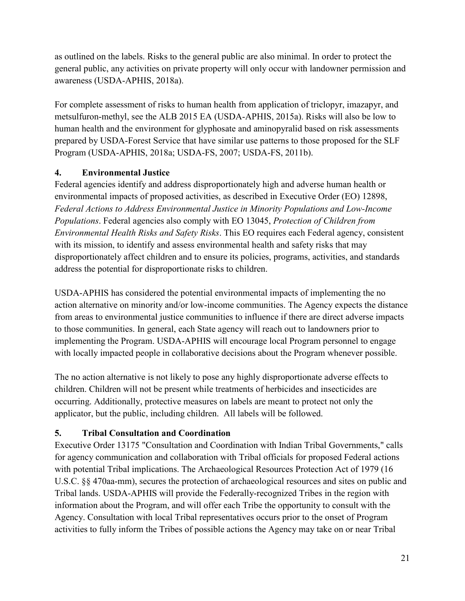as outlined on the labels. Risks to the general public are also minimal. In order to protect the general public, any activities on private property will only occur with landowner permission and awareness (USDA-APHIS, 2018a).

For complete assessment of risks to human health from application of triclopyr, imazapyr, and metsulfuron-methyl, see the ALB 2015 EA (USDA-APHIS, 2015a). Risks will also be low to human health and the environment for glyphosate and aminopyralid based on risk assessments prepared by USDA-Forest Service that have similar use patterns to those proposed for the SLF Program (USDA-APHIS, 2018a; USDA-FS, 2007; USDA-FS, 2011b).

#### <span id="page-23-0"></span>**4. Environmental Justice**

Federal agencies identify and address disproportionately high and adverse human health or environmental impacts of proposed activities, as described in Executive Order (EO) 12898, *Federal Actions to Address Environmental Justice in Minority Populations and Low-Income Populations*. Federal agencies also comply with EO 13045, *Protection of Children from Environmental Health Risks and Safety Risks*. This EO requires each Federal agency, consistent with its mission, to identify and assess environmental health and safety risks that may disproportionately affect children and to ensure its policies, programs, activities, and standards address the potential for disproportionate risks to children.

USDA-APHIS has considered the potential environmental impacts of implementing the no action alternative on minority and/or low-income communities. The Agency expects the distance from areas to environmental justice communities to influence if there are direct adverse impacts to those communities. In general, each State agency will reach out to landowners prior to implementing the Program. USDA-APHIS will encourage local Program personnel to engage with locally impacted people in collaborative decisions about the Program whenever possible.

The no action alternative is not likely to pose any highly disproportionate adverse effects to children. Children will not be present while treatments of herbicides and insecticides are occurring. Additionally, protective measures on labels are meant to protect not only the applicator, but the public, including children. All labels will be followed.

#### **5. Tribal Consultation and Coordination**

Executive Order 13175 "Consultation and Coordination with Indian Tribal Governments," calls for agency communication and collaboration with Tribal officials for proposed Federal actions with potential Tribal implications. The Archaeological Resources Protection Act of 1979 (16 U.S.C. §§ 470aa-mm), secures the protection of archaeological resources and sites on public and Tribal lands. USDA-APHIS will provide the Federally-recognized Tribes in the region with information about the Program, and will offer each Tribe the opportunity to consult with the Agency. Consultation with local Tribal representatives occurs prior to the onset of Program activities to fully inform the Tribes of possible actions the Agency may take on or near Tribal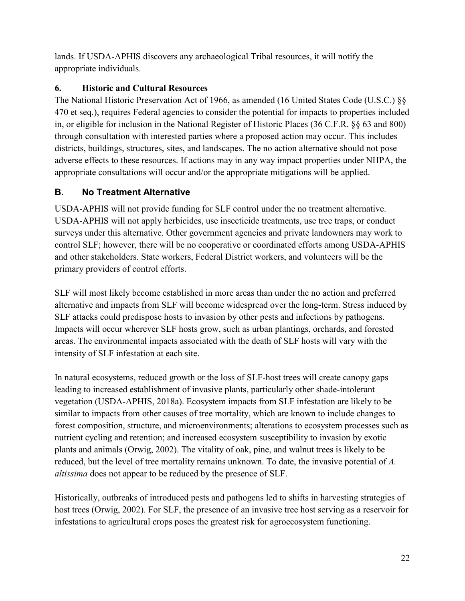lands. If USDA-APHIS discovers any archaeological Tribal resources, it will notify the appropriate individuals.

#### <span id="page-24-0"></span>**6. Historic and Cultural Resources**

The National Historic Preservation Act of 1966, as amended (16 United States Code (U.S.C.) §§ 470 et seq.), requires Federal agencies to consider the potential for impacts to properties included in, or eligible for inclusion in the National Register of Historic Places (36 C.F.R. §§ 63 and 800) through consultation with interested parties where a proposed action may occur. This includes districts, buildings, structures, sites, and landscapes. The no action alternative should not pose adverse effects to these resources. If actions may in any way impact properties under NHPA, the appropriate consultations will occur and/or the appropriate mitigations will be applied.

#### **B. No Treatment Alternative**

USDA-APHIS will not provide funding for SLF control under the no treatment alternative. USDA-APHIS will not apply herbicides, use insecticide treatments, use tree traps, or conduct surveys under this alternative. Other government agencies and private landowners may work to control SLF; however, there will be no cooperative or coordinated efforts among USDA-APHIS and other stakeholders. State workers, Federal District workers, and volunteers will be the primary providers of control efforts.

SLF will most likely become established in more areas than under the no action and preferred alternative and impacts from SLF will become widespread over the long-term. Stress induced by SLF attacks could predispose hosts to invasion by other pests and infections by pathogens. Impacts will occur wherever SLF hosts grow, such as urban plantings, orchards, and forested areas. The environmental impacts associated with the death of SLF hosts will vary with the intensity of SLF infestation at each site.

In natural ecosystems, reduced growth or the loss of SLF-host trees will create canopy gaps leading to increased establishment of invasive plants, particularly other shade-intolerant vegetation (USDA-APHIS, 2018a). Ecosystem impacts from SLF infestation are likely to be similar to impacts from other causes of tree mortality, which are known to include changes to forest composition, structure, and microenvironments; alterations to ecosystem processes such as nutrient cycling and retention; and increased ecosystem susceptibility to invasion by exotic plants and animals (Orwig, 2002). The vitality of oak, pine, and walnut trees is likely to be reduced, but the level of tree mortality remains unknown. To date, the invasive potential of *A. altissima* does not appear to be reduced by the presence of SLF.

Historically, outbreaks of introduced pests and pathogens led to shifts in harvesting strategies of host trees (Orwig, 2002). For SLF, the presence of an invasive tree host serving as a reservoir for infestations to agricultural crops poses the greatest risk for agroecosystem functioning.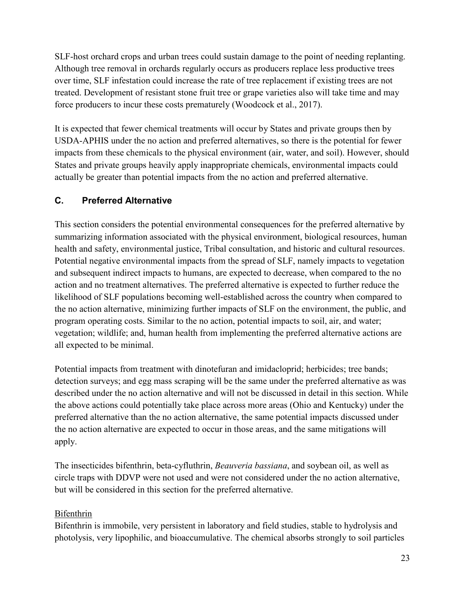SLF-host orchard crops and urban trees could sustain damage to the point of needing replanting. Although tree removal in orchards regularly occurs as producers replace less productive trees over time, SLF infestation could increase the rate of tree replacement if existing trees are not treated. Development of resistant stone fruit tree or grape varieties also will take time and may force producers to incur these costs prematurely (Woodcock et al., 2017).

It is expected that fewer chemical treatments will occur by States and private groups then by USDA-APHIS under the no action and preferred alternatives, so there is the potential for fewer impacts from these chemicals to the physical environment (air, water, and soil). However, should States and private groups heavily apply inappropriate chemicals, environmental impacts could actually be greater than potential impacts from the no action and preferred alternative.

#### <span id="page-25-0"></span>**C. Preferred Alternative**

This section considers the potential environmental consequences for the preferred alternative by summarizing information associated with the physical environment, biological resources, human health and safety, environmental justice, Tribal consultation, and historic and cultural resources. Potential negative environmental impacts from the spread of SLF, namely impacts to vegetation and subsequent indirect impacts to humans, are expected to decrease, when compared to the no action and no treatment alternatives. The preferred alternative is expected to further reduce the likelihood of SLF populations becoming well-established across the country when compared to the no action alternative, minimizing further impacts of SLF on the environment, the public, and program operating costs. Similar to the no action, potential impacts to soil, air, and water; vegetation; wildlife; and, human health from implementing the preferred alternative actions are all expected to be minimal.

Potential impacts from treatment with dinotefuran and imidacloprid; herbicides; tree bands; detection surveys; and egg mass scraping will be the same under the preferred alternative as was described under the no action alternative and will not be discussed in detail in this section. While the above actions could potentially take place across more areas (Ohio and Kentucky) under the preferred alternative than the no action alternative, the same potential impacts discussed under the no action alternative are expected to occur in those areas, and the same mitigations will apply.

The insecticides bifenthrin, beta-cyfluthrin, *Beauveria bassiana*, and soybean oil, as well as circle traps with DDVP were not used and were not considered under the no action alternative, but will be considered in this section for the preferred alternative.

#### Bifenthrin

Bifenthrin is immobile, very persistent in laboratory and field studies, stable to hydrolysis and photolysis, very lipophilic, and bioaccumulative. The chemical absorbs strongly to soil particles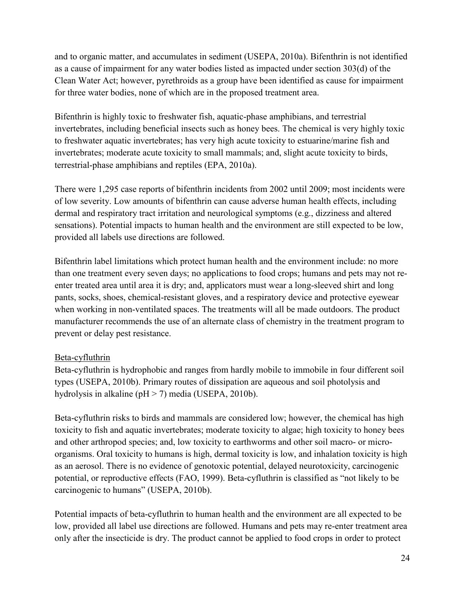and to organic matter, and accumulates in sediment (USEPA, 2010a). Bifenthrin is not identified as a cause of impairment for any water bodies listed as impacted under section 303(d) of the Clean Water Act; however, pyrethroids as a group have been identified as cause for impairment for three water bodies, none of which are in the proposed treatment area.

Bifenthrin is highly toxic to freshwater fish, aquatic-phase amphibians, and terrestrial invertebrates, including beneficial insects such as honey bees. The chemical is very highly toxic to freshwater aquatic invertebrates; has very high acute toxicity to estuarine/marine fish and invertebrates; moderate acute toxicity to small mammals; and, slight acute toxicity to birds, terrestrial-phase amphibians and reptiles (EPA, 2010a).

There were 1,295 case reports of bifenthrin incidents from 2002 until 2009; most incidents were of low severity. Low amounts of bifenthrin can cause adverse human health effects, including dermal and respiratory tract irritation and neurological symptoms (e.g., dizziness and altered sensations). Potential impacts to human health and the environment are still expected to be low, provided all labels use directions are followed.

Bifenthrin label limitations which protect human health and the environment include: no more than one treatment every seven days; no applications to food crops; humans and pets may not reenter treated area until area it is dry; and, applicators must wear a long-sleeved shirt and long pants, socks, shoes, chemical-resistant gloves, and a respiratory device and protective eyewear when working in non-ventilated spaces. The treatments will all be made outdoors. The product manufacturer recommends the use of an alternate class of chemistry in the treatment program to prevent or delay pest resistance.

#### Beta-cyfluthrin

Beta-cyfluthrin is hydrophobic and ranges from hardly mobile to immobile in four different soil types (USEPA, 2010b). Primary routes of dissipation are aqueous and soil photolysis and hydrolysis in alkaline (pH > 7) media (USEPA, 2010b).

Beta-cyfluthrin risks to birds and mammals are considered low; however, the chemical has high toxicity to fish and aquatic invertebrates; moderate toxicity to algae; high toxicity to honey bees and other arthropod species; and, low toxicity to earthworms and other soil macro- or microorganisms. Oral toxicity to humans is high, dermal toxicity is low, and inhalation toxicity is high as an aerosol. There is no evidence of genotoxic potential, delayed neurotoxicity, carcinogenic potential, or reproductive effects (FAO, 1999). Beta-cyfluthrin is classified as "not likely to be carcinogenic to humans" (USEPA, 2010b).

Potential impacts of beta-cyfluthrin to human health and the environment are all expected to be low, provided all label use directions are followed. Humans and pets may re-enter treatment area only after the insecticide is dry. The product cannot be applied to food crops in order to protect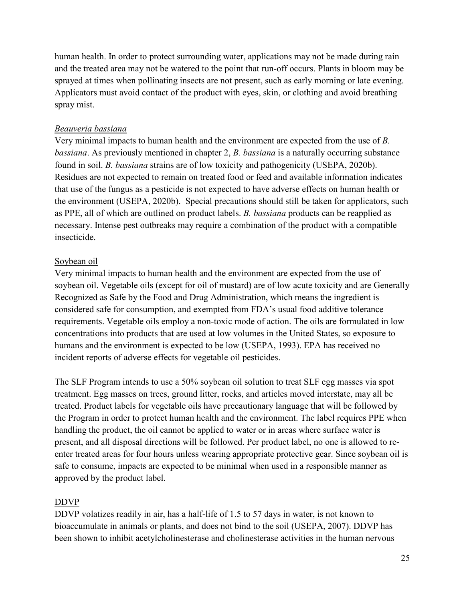human health. In order to protect surrounding water, applications may not be made during rain and the treated area may not be watered to the point that run-off occurs. Plants in bloom may be sprayed at times when pollinating insects are not present, such as early morning or late evening. Applicators must avoid contact of the product with eyes, skin, or clothing and avoid breathing spray mist.

#### *Beauveria bassiana*

Very minimal impacts to human health and the environment are expected from the use of *B. bassiana*. As previously mentioned in chapter 2, *B. bassiana* is a naturally occurring substance found in soil. *B. bassiana* strains are of low toxicity and pathogenicity (USEPA, 2020b). Residues are not expected to remain on treated food or feed and available information indicates that use of the fungus as a pesticide is not expected to have adverse effects on human health or the environment (USEPA, 2020b). Special precautions should still be taken for applicators, such as PPE, all of which are outlined on product labels. *B. bassiana* products can be reapplied as necessary. Intense pest outbreaks may require a combination of the product with a compatible insecticide.

#### Soybean oil

Very minimal impacts to human health and the environment are expected from the use of soybean oil. Vegetable oils (except for oil of mustard) are of low acute toxicity and are Generally Recognized as Safe by the Food and Drug Administration, which means the ingredient is considered safe for consumption, and exempted from FDA's usual food additive tolerance requirements. Vegetable oils employ a non-toxic mode of action. The oils are formulated in low concentrations into products that are used at low volumes in the United States, so exposure to humans and the environment is expected to be low (USEPA, 1993). EPA has received no incident reports of adverse effects for vegetable oil pesticides.

The SLF Program intends to use a 50% soybean oil solution to treat SLF egg masses via spot treatment. Egg masses on trees, ground litter, rocks, and articles moved interstate, may all be treated. Product labels for vegetable oils have precautionary language that will be followed by the Program in order to protect human health and the environment. The label requires PPE when handling the product, the oil cannot be applied to water or in areas where surface water is present, and all disposal directions will be followed. Per product label, no one is allowed to reenter treated areas for four hours unless wearing appropriate protective gear. Since soybean oil is safe to consume, impacts are expected to be minimal when used in a responsible manner as approved by the product label.

#### DDVP

DDVP volatizes readily in air, has a half-life of 1.5 to 57 days in water, is not known to bioaccumulate in animals or plants, and does not bind to the soil (USEPA, 2007). DDVP has been shown to inhibit acetylcholinesterase and cholinesterase activities in the human nervous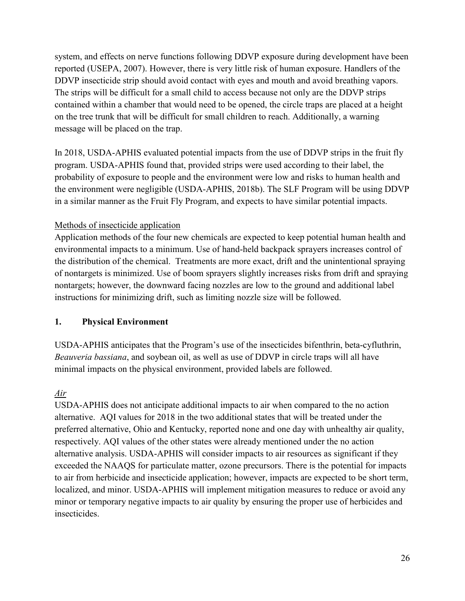system, and effects on nerve functions following DDVP exposure during development have been reported (USEPA, 2007). However, there is very little risk of human exposure. Handlers of the DDVP insecticide strip should avoid contact with eyes and mouth and avoid breathing vapors. The strips will be difficult for a small child to access because not only are the DDVP strips contained within a chamber that would need to be opened, the circle traps are placed at a height on the tree trunk that will be difficult for small children to reach. Additionally, a warning message will be placed on the trap.

In 2018, USDA-APHIS evaluated potential impacts from the use of DDVP strips in the fruit fly program. USDA-APHIS found that, provided strips were used according to their label, the probability of exposure to people and the environment were low and risks to human health and the environment were negligible (USDA-APHIS, 2018b). The SLF Program will be using DDVP in a similar manner as the Fruit Fly Program, and expects to have similar potential impacts.

#### Methods of insecticide application

Application methods of the four new chemicals are expected to keep potential human health and environmental impacts to a minimum. Use of hand-held backpack sprayers increases control of the distribution of the chemical. Treatments are more exact, drift and the unintentional spraying of nontargets is minimized. Use of boom sprayers slightly increases risks from drift and spraying nontargets; however, the downward facing nozzles are low to the ground and additional label instructions for minimizing drift, such as limiting nozzle size will be followed.

#### <span id="page-28-0"></span>**1. Physical Environment**

USDA-APHIS anticipates that the Program's use of the insecticides bifenthrin, beta-cyfluthrin, *Beauveria bassiana*, and soybean oil, as well as use of DDVP in circle traps will all have minimal impacts on the physical environment, provided labels are followed.

#### *Air*

USDA-APHIS does not anticipate additional impacts to air when compared to the no action alternative. AQI values for 2018 in the two additional states that will be treated under the preferred alternative, Ohio and Kentucky, reported none and one day with unhealthy air quality, respectively. AQI values of the other states were already mentioned under the no action alternative analysis. USDA-APHIS will consider impacts to air resources as significant if they exceeded the NAAQS for particulate matter, ozone precursors. There is the potential for impacts to air from herbicide and insecticide application; however, impacts are expected to be short term, localized, and minor. USDA-APHIS will implement mitigation measures to reduce or avoid any minor or temporary negative impacts to air quality by ensuring the proper use of herbicides and insecticides.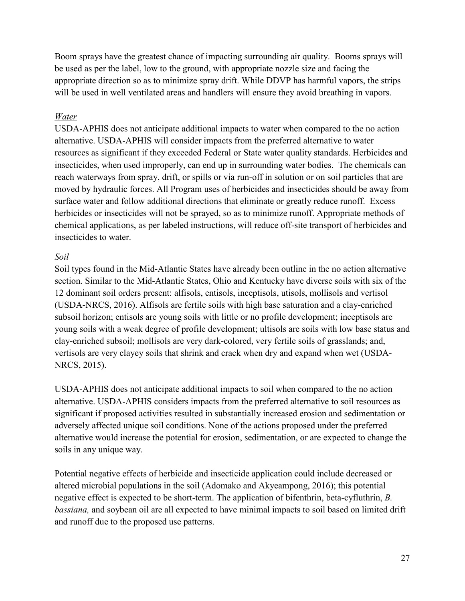Boom sprays have the greatest chance of impacting surrounding air quality. Booms sprays will be used as per the label, low to the ground, with appropriate nozzle size and facing the appropriate direction so as to minimize spray drift. While DDVP has harmful vapors, the strips will be used in well ventilated areas and handlers will ensure they avoid breathing in vapors.

#### *Water*

USDA-APHIS does not anticipate additional impacts to water when compared to the no action alternative. USDA-APHIS will consider impacts from the preferred alternative to water resources as significant if they exceeded Federal or State water quality standards. Herbicides and insecticides, when used improperly, can end up in surrounding water bodies. The chemicals can reach waterways from spray, drift, or spills or via run-off in solution or on soil particles that are moved by hydraulic forces. All Program uses of herbicides and insecticides should be away from surface water and follow additional directions that eliminate or greatly reduce runoff. Excess herbicides or insecticides will not be sprayed, so as to minimize runoff. Appropriate methods of chemical applications, as per labeled instructions, will reduce off-site transport of herbicides and insecticides to water.

#### *Soil*

Soil types found in the Mid-Atlantic States have already been outline in the no action alternative section. Similar to the Mid-Atlantic States, Ohio and Kentucky have diverse soils with six of the 12 dominant soil orders present: alfisols, entisols, inceptisols, utisols, mollisols and vertisol (USDA-NRCS, 2016). Alfisols are fertile soils with high base saturation and a clay-enriched subsoil horizon; entisols are young soils with little or no profile development; inceptisols are young soils with a weak degree of profile development; ultisols are soils with low base status and clay-enriched subsoil; mollisols are very dark-colored, very fertile soils of grasslands; and, vertisols are very clayey soils that shrink and crack when dry and expand when wet (USDA-NRCS, 2015).

USDA-APHIS does not anticipate additional impacts to soil when compared to the no action alternative. USDA-APHIS considers impacts from the preferred alternative to soil resources as significant if proposed activities resulted in substantially increased erosion and sedimentation or adversely affected unique soil conditions. None of the actions proposed under the preferred alternative would increase the potential for erosion, sedimentation, or are expected to change the soils in any unique way.

Potential negative effects of herbicide and insecticide application could include decreased or altered microbial populations in the soil (Adomako and Akyeampong, 2016); this potential negative effect is expected to be short-term. The application of bifenthrin, beta-cyfluthrin, *B. bassiana,* and soybean oil are all expected to have minimal impacts to soil based on limited drift and runoff due to the proposed use patterns.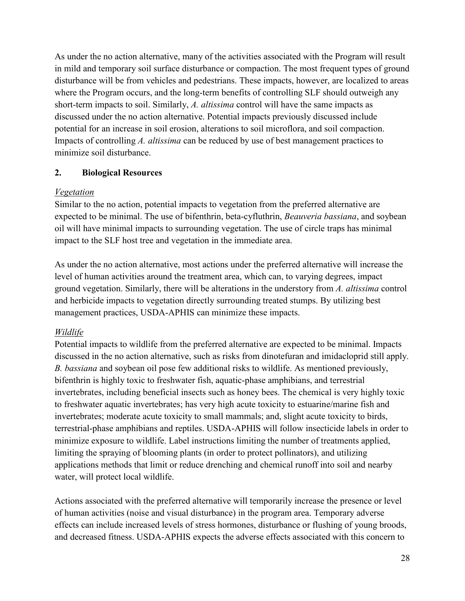As under the no action alternative, many of the activities associated with the Program will result in mild and temporary soil surface disturbance or compaction. The most frequent types of ground disturbance will be from vehicles and pedestrians. These impacts, however, are localized to areas where the Program occurs, and the long-term benefits of controlling SLF should outweigh any short-term impacts to soil. Similarly, *A. altissima* control will have the same impacts as discussed under the no action alternative. Potential impacts previously discussed include potential for an increase in soil erosion, alterations to soil microflora, and soil compaction. Impacts of controlling *A. altissima* can be reduced by use of best management practices to minimize soil disturbance.

#### <span id="page-30-0"></span>**2. Biological Resources**

#### *Vegetation*

Similar to the no action, potential impacts to vegetation from the preferred alternative are expected to be minimal. The use of bifenthrin, beta-cyfluthrin, *Beauveria bassiana*, and soybean oil will have minimal impacts to surrounding vegetation. The use of circle traps has minimal impact to the SLF host tree and vegetation in the immediate area.

As under the no action alternative, most actions under the preferred alternative will increase the level of human activities around the treatment area, which can, to varying degrees, impact ground vegetation. Similarly, there will be alterations in the understory from *A. altissima* control and herbicide impacts to vegetation directly surrounding treated stumps. By utilizing best management practices, USDA-APHIS can minimize these impacts.

#### *Wildlife*

Potential impacts to wildlife from the preferred alternative are expected to be minimal. Impacts discussed in the no action alternative, such as risks from dinotefuran and imidacloprid still apply. *B. bassiana* and soybean oil pose few additional risks to wildlife. As mentioned previously, bifenthrin is highly toxic to freshwater fish, aquatic-phase amphibians, and terrestrial invertebrates, including beneficial insects such as honey bees. The chemical is very highly toxic to freshwater aquatic invertebrates; has very high acute toxicity to estuarine/marine fish and invertebrates; moderate acute toxicity to small mammals; and, slight acute toxicity to birds, terrestrial-phase amphibians and reptiles. USDA-APHIS will follow insecticide labels in order to minimize exposure to wildlife. Label instructions limiting the number of treatments applied, limiting the spraying of blooming plants (in order to protect pollinators), and utilizing applications methods that limit or reduce drenching and chemical runoff into soil and nearby water, will protect local wildlife.

Actions associated with the preferred alternative will temporarily increase the presence or level of human activities (noise and visual disturbance) in the program area. Temporary adverse effects can include increased levels of stress hormones, disturbance or flushing of young broods, and decreased fitness. USDA-APHIS expects the adverse effects associated with this concern to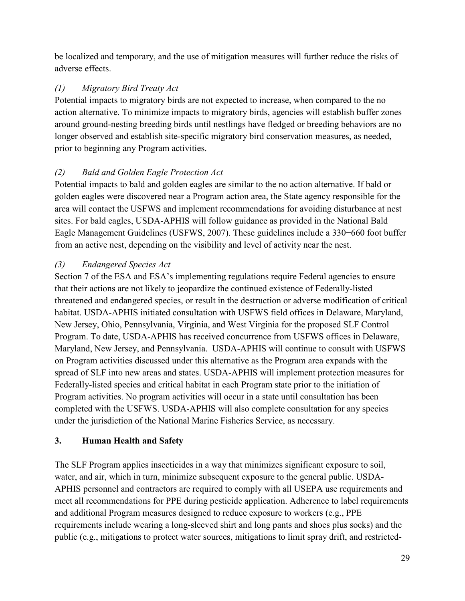be localized and temporary, and the use of mitigation measures will further reduce the risks of adverse effects.

#### *(1) Migratory Bird Treaty Act*

Potential impacts to migratory birds are not expected to increase, when compared to the no action alternative. To minimize impacts to migratory birds, agencies will establish buffer zones around ground-nesting breeding birds until nestlings have fledged or breeding behaviors are no longer observed and establish site-specific migratory bird conservation measures, as needed, prior to beginning any Program activities.

#### *(2) Bald and Golden Eagle Protection Act*

Potential impacts to bald and golden eagles are similar to the no action alternative. If bald or golden eagles were discovered near a Program action area, the State agency responsible for the area will contact the USFWS and implement recommendations for avoiding disturbance at nest sites. For bald eagles, USDA-APHIS will follow guidance as provided in the National Bald Eagle Management Guidelines (USFWS, 2007). These guidelines include a 330−660 foot buffer from an active nest, depending on the visibility and level of activity near the nest.

#### *(3) Endangered Species Act*

Section 7 of the ESA and ESA's implementing regulations require Federal agencies to ensure that their actions are not likely to jeopardize the continued existence of Federally-listed threatened and endangered species, or result in the destruction or adverse modification of critical habitat. USDA-APHIS initiated consultation with USFWS field offices in Delaware, Maryland, New Jersey, Ohio, Pennsylvania, Virginia, and West Virginia for the proposed SLF Control Program. To date, USDA-APHIS has received concurrence from USFWS offices in Delaware, Maryland, New Jersey, and Pennsylvania. USDA-APHIS will continue to consult with USFWS on Program activities discussed under this alternative as the Program area expands with the spread of SLF into new areas and states. USDA-APHIS will implement protection measures for Federally-listed species and critical habitat in each Program state prior to the initiation of Program activities. No program activities will occur in a state until consultation has been completed with the USFWS. USDA-APHIS will also complete consultation for any species under the jurisdiction of the National Marine Fisheries Service, as necessary.

#### <span id="page-31-0"></span>**3. Human Health and Safety**

The SLF Program applies insecticides in a way that minimizes significant exposure to soil, water, and air, which in turn, minimize subsequent exposure to the general public. USDA-APHIS personnel and contractors are required to comply with all USEPA use requirements and meet all recommendations for PPE during pesticide application. Adherence to label requirements and additional Program measures designed to reduce exposure to workers (e.g., PPE requirements include wearing a long-sleeved shirt and long pants and shoes plus socks) and the public (e.g., mitigations to protect water sources, mitigations to limit spray drift, and restricted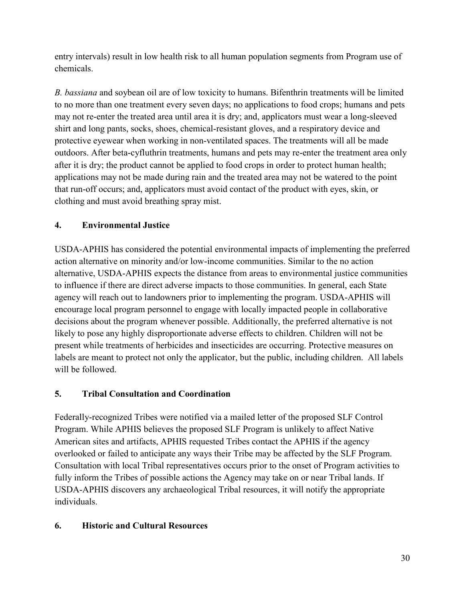entry intervals) result in low health risk to all human population segments from Program use of chemicals.

*B. bassiana* and soybean oil are of low toxicity to humans. Bifenthrin treatments will be limited to no more than one treatment every seven days; no applications to food crops; humans and pets may not re-enter the treated area until area it is dry; and, applicators must wear a long-sleeved shirt and long pants, socks, shoes, chemical-resistant gloves, and a respiratory device and protective eyewear when working in non-ventilated spaces. The treatments will all be made outdoors. After beta-cyfluthrin treatments, humans and pets may re-enter the treatment area only after it is dry; the product cannot be applied to food crops in order to protect human health; applications may not be made during rain and the treated area may not be watered to the point that run-off occurs; and, applicators must avoid contact of the product with eyes, skin, or clothing and must avoid breathing spray mist.

#### <span id="page-32-0"></span>**4. Environmental Justice**

USDA-APHIS has considered the potential environmental impacts of implementing the preferred action alternative on minority and/or low-income communities. Similar to the no action alternative, USDA-APHIS expects the distance from areas to environmental justice communities to influence if there are direct adverse impacts to those communities. In general, each State agency will reach out to landowners prior to implementing the program. USDA-APHIS will encourage local program personnel to engage with locally impacted people in collaborative decisions about the program whenever possible. Additionally, the preferred alternative is not likely to pose any highly disproportionate adverse effects to children. Children will not be present while treatments of herbicides and insecticides are occurring. Protective measures on labels are meant to protect not only the applicator, but the public, including children. All labels will be followed.

#### <span id="page-32-1"></span>**5. Tribal Consultation and Coordination**

Federally-recognized Tribes were notified via a mailed letter of the proposed SLF Control Program. While APHIS believes the proposed SLF Program is unlikely to affect Native American sites and artifacts, APHIS requested Tribes contact the APHIS if the agency overlooked or failed to anticipate any ways their Tribe may be affected by the SLF Program. Consultation with local Tribal representatives occurs prior to the onset of Program activities to fully inform the Tribes of possible actions the Agency may take on or near Tribal lands. If USDA-APHIS discovers any archaeological Tribal resources, it will notify the appropriate individuals.

#### <span id="page-32-2"></span>**6. Historic and Cultural Resources**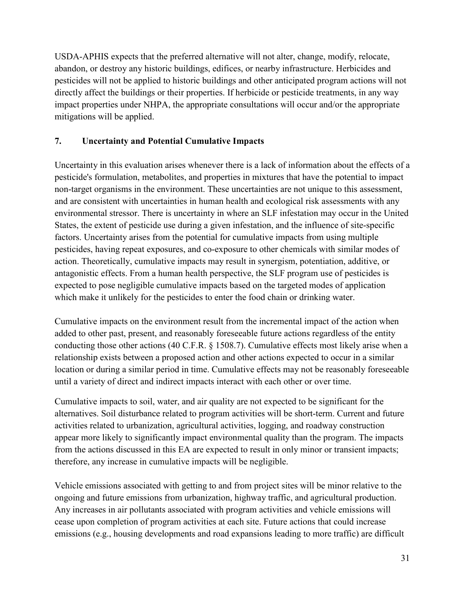USDA-APHIS expects that the preferred alternative will not alter, change, modify, relocate, abandon, or destroy any historic buildings, edifices, or nearby infrastructure. Herbicides and pesticides will not be applied to historic buildings and other anticipated program actions will not directly affect the buildings or their properties. If herbicide or pesticide treatments, in any way impact properties under NHPA, the appropriate consultations will occur and/or the appropriate mitigations will be applied.

#### **7. Uncertainty and Potential Cumulative Impacts**

Uncertainty in this evaluation arises whenever there is a lack of information about the effects of a pesticide's formulation, metabolites, and properties in mixtures that have the potential to impact non-target organisms in the environment. These uncertainties are not unique to this assessment, and are consistent with uncertainties in human health and ecological risk assessments with any environmental stressor. There is uncertainty in where an SLF infestation may occur in the United States, the extent of pesticide use during a given infestation, and the influence of site-specific factors. Uncertainty arises from the potential for cumulative impacts from using multiple pesticides, having repeat exposures, and co-exposure to other chemicals with similar modes of action. Theoretically, cumulative impacts may result in synergism, potentiation, additive, or antagonistic effects. From a human health perspective, the SLF program use of pesticides is expected to pose negligible cumulative impacts based on the targeted modes of application which make it unlikely for the pesticides to enter the food chain or drinking water.

Cumulative impacts on the environment result from the incremental impact of the action when added to other past, present, and reasonably foreseeable future actions regardless of the entity conducting those other actions (40 C.F.R. § 1508.7). Cumulative effects most likely arise when a relationship exists between a proposed action and other actions expected to occur in a similar location or during a similar period in time. Cumulative effects may not be reasonably foreseeable until a variety of direct and indirect impacts interact with each other or over time.

Cumulative impacts to soil, water, and air quality are not expected to be significant for the alternatives. Soil disturbance related to program activities will be short-term. Current and future activities related to urbanization, agricultural activities, logging, and roadway construction appear more likely to significantly impact environmental quality than the program. The impacts from the actions discussed in this EA are expected to result in only minor or transient impacts; therefore, any increase in cumulative impacts will be negligible.

Vehicle emissions associated with getting to and from project sites will be minor relative to the ongoing and future emissions from urbanization, highway traffic, and agricultural production. Any increases in air pollutants associated with program activities and vehicle emissions will cease upon completion of program activities at each site. Future actions that could increase emissions (e.g., housing developments and road expansions leading to more traffic) are difficult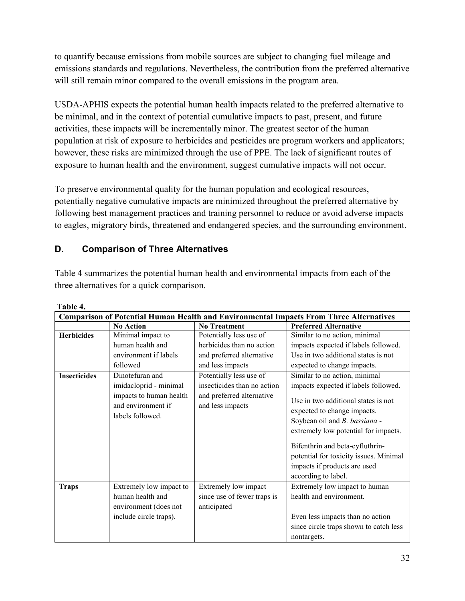to quantify because emissions from mobile sources are subject to changing fuel mileage and emissions standards and regulations. Nevertheless, the contribution from the preferred alternative will still remain minor compared to the overall emissions in the program area.

USDA-APHIS expects the potential human health impacts related to the preferred alternative to be minimal, and in the context of potential cumulative impacts to past, present, and future activities, these impacts will be incrementally minor. The greatest sector of the human population at risk of exposure to herbicides and pesticides are program workers and applicators; however, these risks are minimized through the use of PPE. The lack of significant routes of exposure to human health and the environment, suggest cumulative impacts will not occur.

To preserve environmental quality for the human population and ecological resources, potentially negative cumulative impacts are minimized throughout the preferred alternative by following best management practices and training personnel to reduce or avoid adverse impacts to eagles, migratory birds, threatened and endangered species, and the surrounding environment.

#### **D. Comparison of Three Alternatives**

Table 4 summarizes the potential human health and environmental impacts from each of the three alternatives for a quick comparison.

| L AVIV T.<br><b>Comparison of Potential Human Health and Environmental Impacts From Three Alternatives</b> |                                                                                                                |                                                                                                         |                                                                                                                                                                                                                                                                                                                                                          |  |
|------------------------------------------------------------------------------------------------------------|----------------------------------------------------------------------------------------------------------------|---------------------------------------------------------------------------------------------------------|----------------------------------------------------------------------------------------------------------------------------------------------------------------------------------------------------------------------------------------------------------------------------------------------------------------------------------------------------------|--|
|                                                                                                            | <b>No Action</b>                                                                                               | <b>No Treatment</b>                                                                                     | <b>Preferred Alternative</b>                                                                                                                                                                                                                                                                                                                             |  |
| <b>Herbicides</b>                                                                                          | Minimal impact to<br>human health and<br>environment if labels<br>followed                                     | Potentially less use of<br>herbicides than no action<br>and preferred alternative<br>and less impacts   | Similar to no action, minimal<br>impacts expected if labels followed.<br>Use in two additional states is not<br>expected to change impacts.                                                                                                                                                                                                              |  |
| <b>Insecticides</b>                                                                                        | Dinotefuran and<br>imidacloprid - minimal<br>impacts to human health<br>and environment if<br>labels followed. | Potentially less use of<br>insecticides than no action<br>and preferred alternative<br>and less impacts | Similar to no action, minimal<br>impacts expected if labels followed.<br>Use in two additional states is not<br>expected to change impacts.<br>Soybean oil and B. bassiana -<br>extremely low potential for impacts.<br>Bifenthrin and beta-cyfluthrin-<br>potential for toxicity issues. Minimal<br>impacts if products are used<br>according to label. |  |
| <b>Traps</b>                                                                                               | Extremely low impact to<br>human health and<br>environment (does not<br>include circle traps).                 | Extremely low impact<br>since use of fewer traps is<br>anticipated                                      | Extremely low impact to human<br>health and environment.<br>Even less impacts than no action<br>since circle traps shown to catch less<br>nontargets.                                                                                                                                                                                                    |  |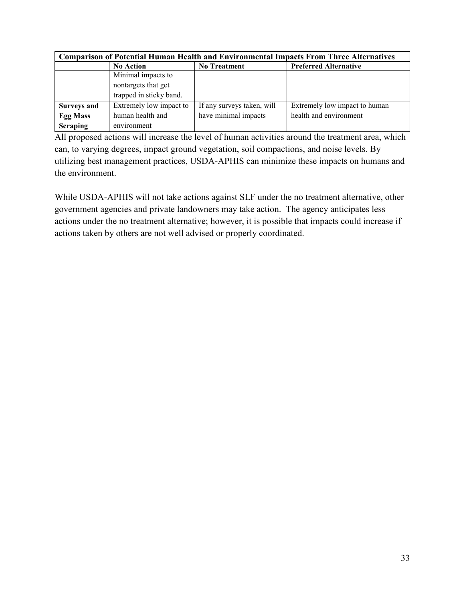| <b>Comparison of Potential Human Health and Environmental Impacts From Three Alternatives</b> |                         |                            |                               |  |
|-----------------------------------------------------------------------------------------------|-------------------------|----------------------------|-------------------------------|--|
|                                                                                               | <b>No Action</b>        | <b>No Treatment</b>        | <b>Preferred Alternative</b>  |  |
|                                                                                               | Minimal impacts to      |                            |                               |  |
|                                                                                               | nontargets that get     |                            |                               |  |
|                                                                                               | trapped in sticky band. |                            |                               |  |
| <b>Surveys and</b>                                                                            | Extremely low impact to | If any surveys taken, will | Extremely low impact to human |  |
| <b>Egg Mass</b>                                                                               | human health and        | have minimal impacts       | health and environment        |  |
| <b>Scraping</b>                                                                               | environment             |                            |                               |  |

All proposed actions will increase the level of human activities around the treatment area, which can, to varying degrees, impact ground vegetation, soil compactions, and noise levels. By utilizing best management practices, USDA-APHIS can minimize these impacts on humans and the environment.

While USDA-APHIS will not take actions against SLF under the no treatment alternative, other government agencies and private landowners may take action. The agency anticipates less actions under the no treatment alternative; however, it is possible that impacts could increase if actions taken by others are not well advised or properly coordinated.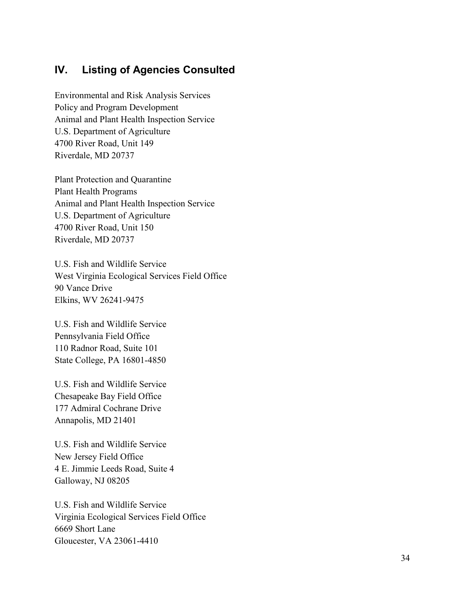### <span id="page-36-0"></span>**IV. Listing of Agencies Consulted**

Environmental and Risk Analysis Services Policy and Program Development Animal and Plant Health Inspection Service U.S. Department of Agriculture 4700 River Road, Unit 149 Riverdale, MD 20737

Plant Protection and Quarantine Plant Health Programs Animal and Plant Health Inspection Service U.S. Department of Agriculture 4700 River Road, Unit 150 Riverdale, MD 20737

U.S. Fish and Wildlife Service West Virginia Ecological Services Field Office 90 Vance Drive Elkins, WV 26241-9475

U.S. Fish and Wildlife Service Pennsylvania Field Office 110 Radnor Road, Suite 101 State College, PA 16801-4850

U.S. Fish and Wildlife Service Chesapeake Bay Field Office 177 Admiral Cochrane Drive Annapolis, MD 21401

U.S. Fish and Wildlife Service New Jersey Field Office 4 E. Jimmie Leeds Road, Suite 4 Galloway, NJ 08205

U.S. Fish and Wildlife Service Virginia Ecological Services Field Office 6669 Short Lane Gloucester, VA 23061-4410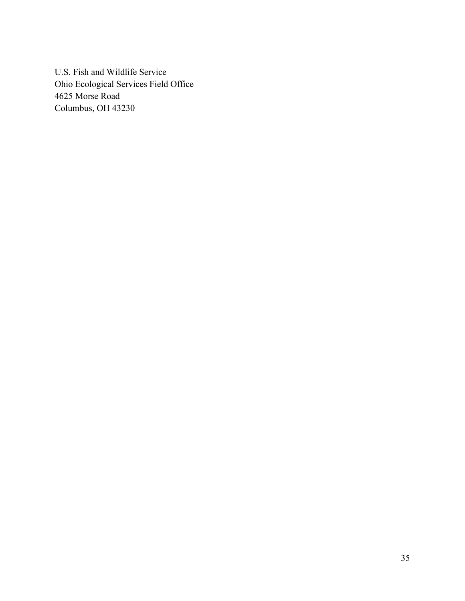U.S. Fish and Wildlife Service Ohio Ecological Services Field Office 4625 Morse Road Columbus, OH 43230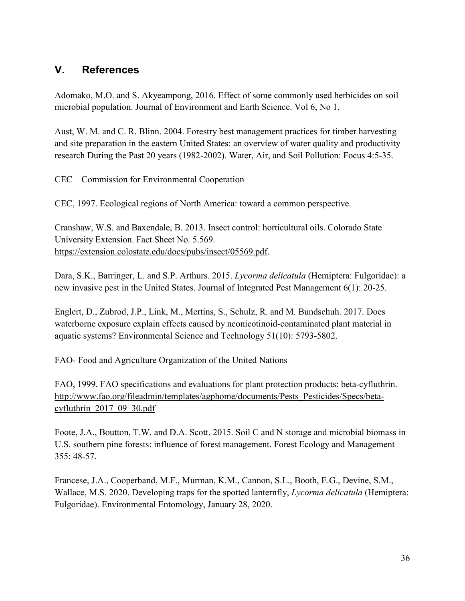### <span id="page-38-0"></span>**V. References**

Adomako, M.O. and S. Akyeampong, 2016. Effect of some commonly used herbicides on soil microbial population. Journal of Environment and Earth Science. Vol 6, No 1.

Aust, W. M. and C. R. Blinn. 2004. Forestry best management practices for timber harvesting and site preparation in the eastern United States: an overview of water quality and productivity research During the Past 20 years (1982-2002). Water, Air, and Soil Pollution: Focus 4:5-35.

CEC – Commission for Environmental Cooperation

CEC, 1997. Ecological regions of North America: toward a common perspective.

Cranshaw, W.S. and Baxendale, B. 2013. Insect control: horticultural oils. Colorado State University Extension. Fact Sheet No. 5.569. [https://extension.colostate.edu/docs/pubs/insect/05569.pdf.](https://extension.colostate.edu/docs/pubs/insect/05569.pdf)

Dara, S.K., Barringer, L. and S.P. Arthurs. 2015. *Lycorma delicatula* (Hemiptera: Fulgoridae): a new invasive pest in the United States. Journal of Integrated Pest Management 6(1): 20-25.

Englert, D., Zubrod, J.P., Link, M., Mertins, S., Schulz, R. and M. Bundschuh. 2017. Does waterborne exposure explain effects caused by neonicotinoid-contaminated plant material in aquatic systems? Environmental Science and Technology 51(10): 5793-5802.

FAO- Food and Agriculture Organization of the United Nations

FAO, 1999. FAO specifications and evaluations for plant protection products: beta-cyfluthrin. [http://www.fao.org/fileadmin/templates/agphome/documents/Pests\\_Pesticides/Specs/beta](http://www.fao.org/fileadmin/templates/agphome/documents/Pests_Pesticides/Specs/beta-cyfluthrin_2017_09_30.pdf)[cyfluthrin\\_2017\\_09\\_30.pdf](http://www.fao.org/fileadmin/templates/agphome/documents/Pests_Pesticides/Specs/beta-cyfluthrin_2017_09_30.pdf)

Foote, J.A., Boutton, T.W. and D.A. Scott. 2015. Soil C and N storage and microbial biomass in U.S. southern pine forests: influence of forest management. Forest Ecology and Management 355: 48-57.

Francese, J.A., Cooperband, M.F., Murman, K.M., Cannon, S.L., Booth, E.G., Devine, S.M., Wallace, M.S. 2020. Developing traps for the spotted lanternfly, *Lycorma delicatula* (Hemiptera: Fulgoridae). Environmental Entomology, January 28, 2020.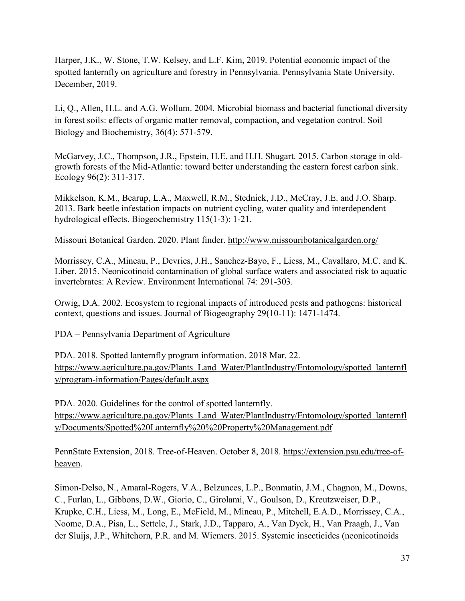Harper, J.K., W. Stone, T.W. Kelsey, and L.F. Kim, 2019. Potential economic impact of the spotted lanternfly on agriculture and forestry in Pennsylvania. Pennsylvania State University. December, 2019.

Li, Q., Allen, H.L. and A.G. Wollum. 2004. Microbial biomass and bacterial functional diversity in forest soils: effects of organic matter removal, compaction, and vegetation control. Soil Biology and Biochemistry, 36(4): 571-579.

McGarvey, J.C., Thompson, J.R., Epstein, H.E. and H.H. Shugart. 2015. Carbon storage in old‐ growth forests of the Mid‐Atlantic: toward better understanding the eastern forest carbon sink. Ecology 96(2): 311-317.

Mikkelson, K.M., Bearup, L.A., Maxwell, R.M., Stednick, J.D., McCray, J.E. and J.O. Sharp. 2013. Bark beetle infestation impacts on nutrient cycling, water quality and interdependent hydrological effects. Biogeochemistry 115(1-3): 1-21.

Missouri Botanical Garden. 2020. Plant finder.<http://www.missouribotanicalgarden.org/>

Morrissey, C.A., Mineau, P., Devries, J.H., Sanchez-Bayo, F., Liess, M., Cavallaro, M.C. and K. Liber. 2015. Neonicotinoid contamination of global surface waters and associated risk to aquatic invertebrates: A Review. Environment International 74: 291-303.

Orwig, D.A. 2002. Ecosystem to regional impacts of introduced pests and pathogens: historical context, questions and issues. Journal of Biogeography 29(10‐11): 1471-1474.

PDA – Pennsylvania Department of Agriculture

PDA. 2018. Spotted lanternfly program information. 2018 Mar. 22. [https://www.agriculture.pa.gov/Plants\\_Land\\_Water/PlantIndustry/Entomology/spotted\\_lanternfl](https://www.agriculture.pa.gov/Plants_Land_Water/PlantIndustry/Entomology/spotted_lanternfly/program-information/Pages/default.aspx) [y/program-information/Pages/default.aspx](https://www.agriculture.pa.gov/Plants_Land_Water/PlantIndustry/Entomology/spotted_lanternfly/program-information/Pages/default.aspx)

PDA. 2020. Guidelines for the control of spotted lanternfly. [https://www.agriculture.pa.gov/Plants\\_Land\\_Water/PlantIndustry/Entomology/spotted\\_lanternfl](https://www.agriculture.pa.gov/Plants_Land_Water/PlantIndustry/Entomology/spotted_lanternfly/Documents/Spotted%20Lanternfly%20%20Property%20Management.pdf) [y/Documents/Spotted%20Lanternfly%20%20Property%20Management.pdf](https://www.agriculture.pa.gov/Plants_Land_Water/PlantIndustry/Entomology/spotted_lanternfly/Documents/Spotted%20Lanternfly%20%20Property%20Management.pdf)

PennState Extension, 2018. Tree-of-Heaven. October 8, 2018. [https://extension.psu.edu/tree-of](https://extension.psu.edu/tree-of-heaven)[heaven.](https://extension.psu.edu/tree-of-heaven)

Simon-Delso, N., Amaral-Rogers, V.A., Belzunces, L.P., Bonmatin, J.M., Chagnon, M., Downs, C., Furlan, L., Gibbons, D.W., Giorio, C., Girolami, V., Goulson, D., Kreutzweiser, D.P., Krupke, C.H., Liess, M., Long, E., McField, M., Mineau, P., Mitchell, E.A.D., Morrissey, C.A., Noome, D.A., Pisa, L., Settele, J., Stark, J.D., Tapparo, A., Van Dyck, H., Van Praagh, J., Van der Sluijs, J.P., Whitehorn, P.R. and M. Wiemers. 2015. Systemic insecticides (neonicotinoids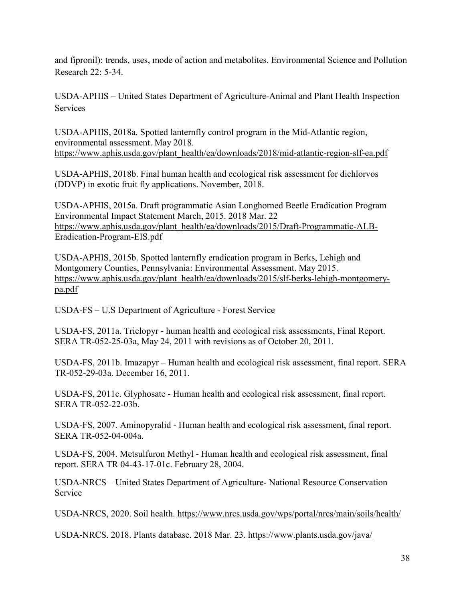and fipronil): trends, uses, mode of action and metabolites. Environmental Science and Pollution Research 22: 5-34.

USDA-APHIS – United States Department of Agriculture-Animal and Plant Health Inspection Services

USDA-APHIS, 2018a. Spotted lanternfly control program in the Mid-Atlantic region, environmental assessment. May 2018. [https://www.aphis.usda.gov/plant\\_health/ea/downloads/2018/mid-atlantic-region-slf-ea.pdf](https://www.aphis.usda.gov/plant_health/ea/downloads/2018/mid-atlantic-region-slf-ea.pdf)

USDA-APHIS, 2018b. Final human health and ecological risk assessment for dichlorvos (DDVP) in exotic fruit fly applications. November, 2018.

USDA-APHIS, 2015a. Draft programmatic Asian Longhorned Beetle Eradication Program Environmental Impact Statement March, 2015. 2018 Mar. 22 [https://www.aphis.usda.gov/plant\\_health/ea/downloads/2015/Draft-Programmatic-ALB-](https://www.aphis.usda.gov/plant_health/ea/downloads/2015/Draft-Programmatic-ALB-Eradication-Program-EIS.pdf)[Eradication-Program-EIS.pdf](https://www.aphis.usda.gov/plant_health/ea/downloads/2015/Draft-Programmatic-ALB-Eradication-Program-EIS.pdf)

USDA-APHIS, 2015b. Spotted lanternfly eradication program in Berks, Lehigh and Montgomery Counties, Pennsylvania: Environmental Assessment. May 2015. [https://www.aphis.usda.gov/plant\\_health/ea/downloads/2015/slf-berks-lehigh-montgomery](https://www.aphis.usda.gov/plant_health/ea/downloads/2015/slf-berks-lehigh-montgomery-pa.pdf)[pa.pdf](https://www.aphis.usda.gov/plant_health/ea/downloads/2015/slf-berks-lehigh-montgomery-pa.pdf)

USDA-FS – U.S Department of Agriculture - Forest Service

USDA-FS, 2011a. Triclopyr - human health and ecological risk assessments, Final Report. SERA TR-052-25-03a, May 24, 2011 with revisions as of October 20, 2011.

USDA-FS, 2011b. Imazapyr – Human health and ecological risk assessment, final report. SERA TR-052-29-03a. December 16, 2011.

USDA-FS, 2011c. Glyphosate - Human health and ecological risk assessment, final report. SERA TR-052-22-03b.

USDA-FS, 2007. Aminopyralid - Human health and ecological risk assessment, final report. SERA TR-052-04-004a.

USDA-FS, 2004. Metsulfuron Methyl - Human health and ecological risk assessment, final report. SERA TR 04-43-17-01c. February 28, 2004.

USDA-NRCS – United States Department of Agriculture- National Resource Conservation Service

USDA-NRCS, 2020. Soil health.<https://www.nrcs.usda.gov/wps/portal/nrcs/main/soils/health/>

USDA-NRCS. 2018. Plants database. 2018 Mar. 23. <https://www.plants.usda.gov/java/>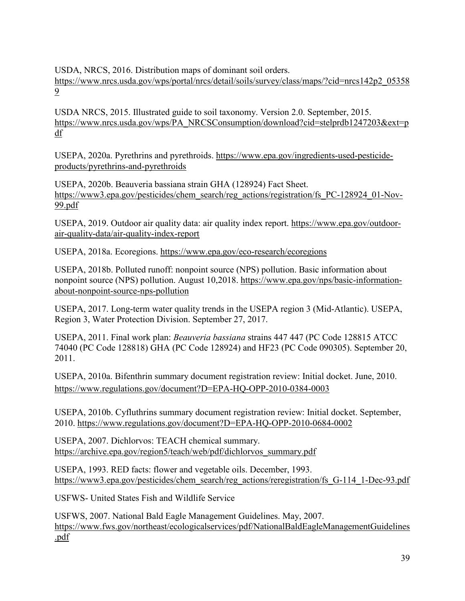USDA, NRCS, 2016. Distribution maps of dominant soil orders.

[https://www.nrcs.usda.gov/wps/portal/nrcs/detail/soils/survey/class/maps/?cid=nrcs142p2\\_05358](https://www.nrcs.usda.gov/wps/portal/nrcs/detail/soils/survey/class/maps/?cid=nrcs142p2_053589) [9](https://www.nrcs.usda.gov/wps/portal/nrcs/detail/soils/survey/class/maps/?cid=nrcs142p2_053589)

USDA NRCS, 2015. Illustrated guide to soil taxonomy. Version 2.0. September, 2015. [https://www.nrcs.usda.gov/wps/PA\\_NRCSConsumption/download?cid=stelprdb1247203&ext=p](https://www.nrcs.usda.gov/wps/PA_NRCSConsumption/download?cid=stelprdb1247203&ext=pdf) [df](https://www.nrcs.usda.gov/wps/PA_NRCSConsumption/download?cid=stelprdb1247203&ext=pdf)

USEPA, 2020a. Pyrethrins and pyrethroids. [https://www.epa.gov/ingredients-used-pesticide](https://www.epa.gov/ingredients-used-pesticide-products/pyrethrins-and-pyrethroids)[products/pyrethrins-and-pyrethroids](https://www.epa.gov/ingredients-used-pesticide-products/pyrethrins-and-pyrethroids)

USEPA, 2020b. Beauveria bassiana strain GHA (128924) Fact Sheet. [https://www3.epa.gov/pesticides/chem\\_search/reg\\_actions/registration/fs\\_PC-128924\\_01-Nov-](https://www3.epa.gov/pesticides/chem_search/reg_actions/registration/fs_PC-128924_01-Nov-99.pdf)[99.pdf](https://www3.epa.gov/pesticides/chem_search/reg_actions/registration/fs_PC-128924_01-Nov-99.pdf)

USEPA, 2019. Outdoor air quality data: air quality index report. [https://www.epa.gov/outdoor](https://www.epa.gov/outdoor-air-quality-data/air-quality-index-report)[air-quality-data/air-quality-index-report](https://www.epa.gov/outdoor-air-quality-data/air-quality-index-report)

USEPA, 2018a. Ecoregions.<https://www.epa.gov/eco-research/ecoregions>

USEPA, 2018b. Polluted runoff: nonpoint source (NPS) pollution. Basic information about nonpoint source (NPS) pollution. August 10,2018. [https://www.epa.gov/nps/basic-information](https://www.epa.gov/nps/basic-information-about-nonpoint-source-nps-pollution)[about-nonpoint-source-nps-pollution](https://www.epa.gov/nps/basic-information-about-nonpoint-source-nps-pollution)

USEPA, 2017. Long-term water quality trends in the USEPA region 3 (Mid-Atlantic). USEPA, Region 3, Water Protection Division. September 27, 2017.

USEPA, 2011. Final work plan: *Beauveria bassiana* strains 447 447 (PC Code 128815 ATCC 74040 (PC Code 128818) GHA (PC Code 128924) and HF23 (PC Code 090305). September 20, 2011.

USEPA, 2010a. Bifenthrin summary document registration review: Initial docket. June, 2010. <https://www.regulations.gov/document?D=EPA-HQ-OPP-2010-0384-0003>

USEPA, 2010b. Cyfluthrins summary document registration review: Initial docket. September, 2010.<https://www.regulations.gov/document?D=EPA-HQ-OPP-2010-0684-0002>

USEPA, 2007. Dichlorvos: TEACH chemical summary. [https://archive.epa.gov/region5/teach/web/pdf/dichlorvos\\_summary.pdf](https://archive.epa.gov/region5/teach/web/pdf/dichlorvos_summary.pdf)

USEPA, 1993. RED facts: flower and vegetable oils. December, 1993. [https://www3.epa.gov/pesticides/chem\\_search/reg\\_actions/reregistration/fs\\_G-114\\_1-Dec-93.pdf](https://www3.epa.gov/pesticides/chem_search/reg_actions/reregistration/fs_G-114_1-Dec-93.pdf)

USFWS- United States Fish and Wildlife Service

USFWS, 2007. National Bald Eagle Management Guidelines. May, 2007. [https://www.fws.gov/northeast/ecologicalservices/pdf/NationalBaldEagleManagementGuidelines](https://www.fws.gov/northeast/ecologicalservices/pdf/NationalBaldEagleManagementGuidelines.pdf) [.pdf](https://www.fws.gov/northeast/ecologicalservices/pdf/NationalBaldEagleManagementGuidelines.pdf)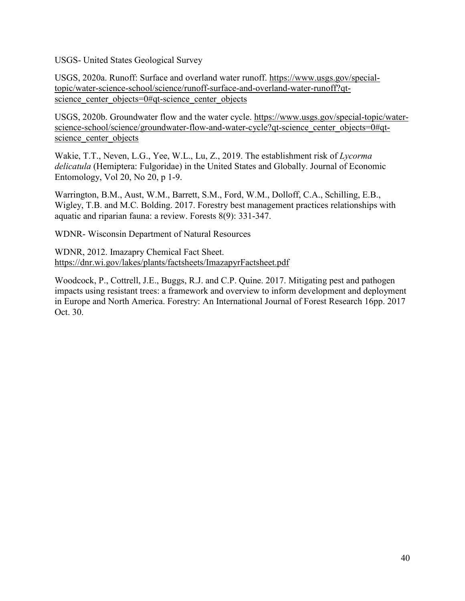USGS- United States Geological Survey

USGS, 2020a. Runoff: Surface and overland water runoff. [https://www.usgs.gov/special](https://www.usgs.gov/special-topic/water-science-school/science/runoff-surface-and-overland-water-runoff?qt-science_center_objects=0#qt-science_center_objects)[topic/water-science-school/science/runoff-surface-and-overland-water-runoff?qt](https://www.usgs.gov/special-topic/water-science-school/science/runoff-surface-and-overland-water-runoff?qt-science_center_objects=0#qt-science_center_objects)science center objects=0#qt-science center objects

USGS, 2020b. Groundwater flow and the water cycle. [https://www.usgs.gov/special-topic/water](https://www.usgs.gov/special-topic/water-science-school/science/groundwater-flow-and-water-cycle?qt-science_center_objects=0#qt-science_center_objects)[science-school/science/groundwater-flow-and-water-cycle?qt-science\\_center\\_objects=0#qt](https://www.usgs.gov/special-topic/water-science-school/science/groundwater-flow-and-water-cycle?qt-science_center_objects=0#qt-science_center_objects)science center objects

Wakie, T.T., Neven, L.G., Yee, W.L., Lu, Z., 2019. The establishment risk of *Lycorma delicatula* (Hemiptera: Fulgoridae) in the United States and Globally. Journal of Economic Entomology, Vol 20, No 20, p 1-9.

Warrington, B.M., Aust, W.M., Barrett, S.M., Ford, W.M., Dolloff, C.A., Schilling, E.B., Wigley, T.B. and M.C. Bolding. 2017. Forestry best management practices relationships with aquatic and riparian fauna: a review. Forests 8(9): 331-347.

WDNR- Wisconsin Department of Natural Resources

WDNR, 2012. Imazapry Chemical Fact Sheet. <https://dnr.wi.gov/lakes/plants/factsheets/ImazapyrFactsheet.pdf>

Woodcock, P., Cottrell, J.E., Buggs, R.J. and C.P. Quine. 2017. Mitigating pest and pathogen impacts using resistant trees: a framework and overview to inform development and deployment in Europe and North America. Forestry: An International Journal of Forest Research 16pp. 2017 Oct. 30.